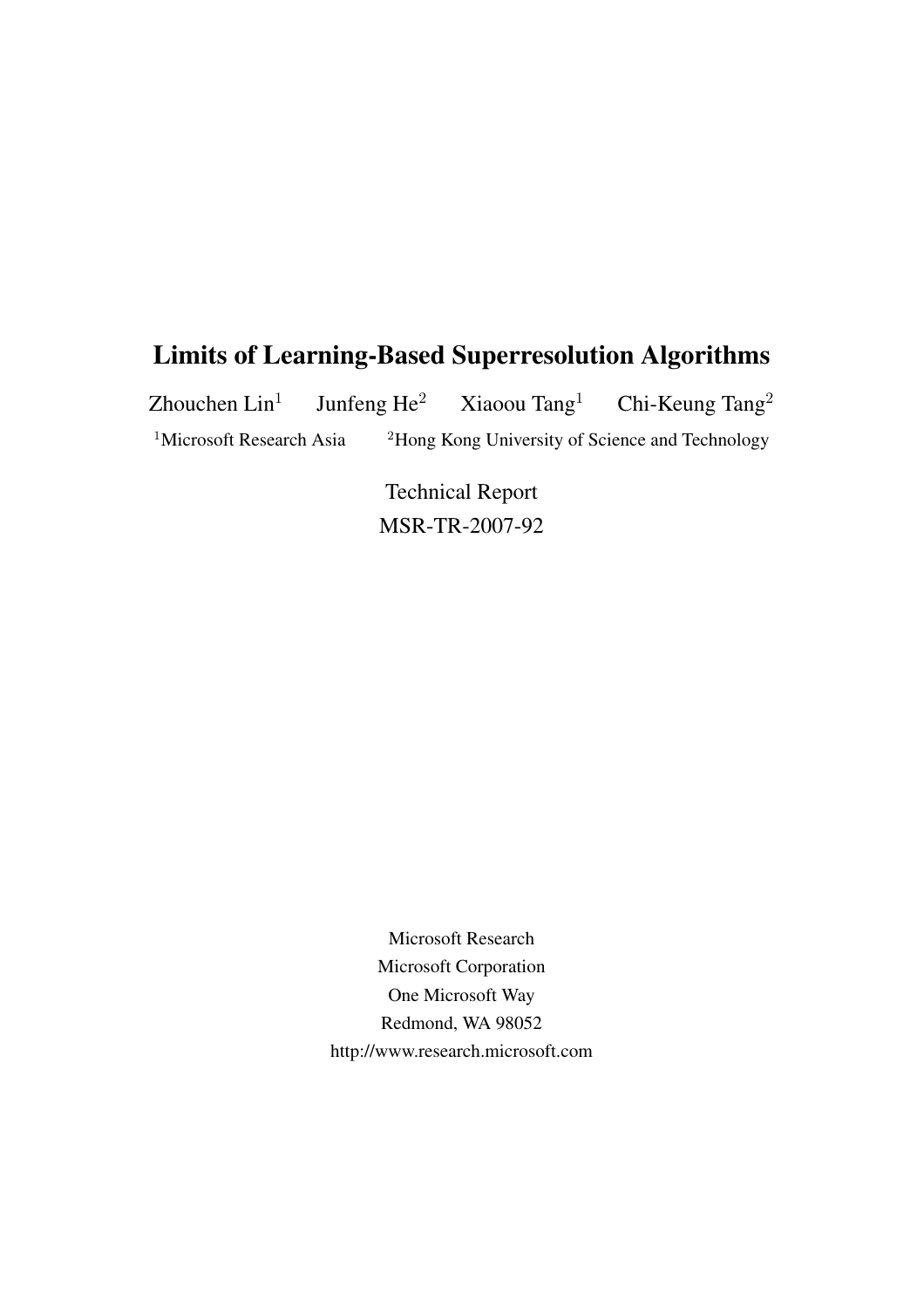# Limits of Learning-Based Superresolution Algorithms

Zhouchen  $Lin<sup>1</sup>$ Junfeng  $\text{He}^2$  Xiaoou Tang<sup>1</sup> Chi-Keung Tang<sup>2</sup> <sup>1</sup>Microsoft Research Asia <sup>2</sup>Hong Kong University of Science and Technology

> Technical Report MSR-TR-2007-92

Microsoft Research Microsoft Corporation One Microsoft Way Redmond, WA 98052 http://www.research.microsoft.com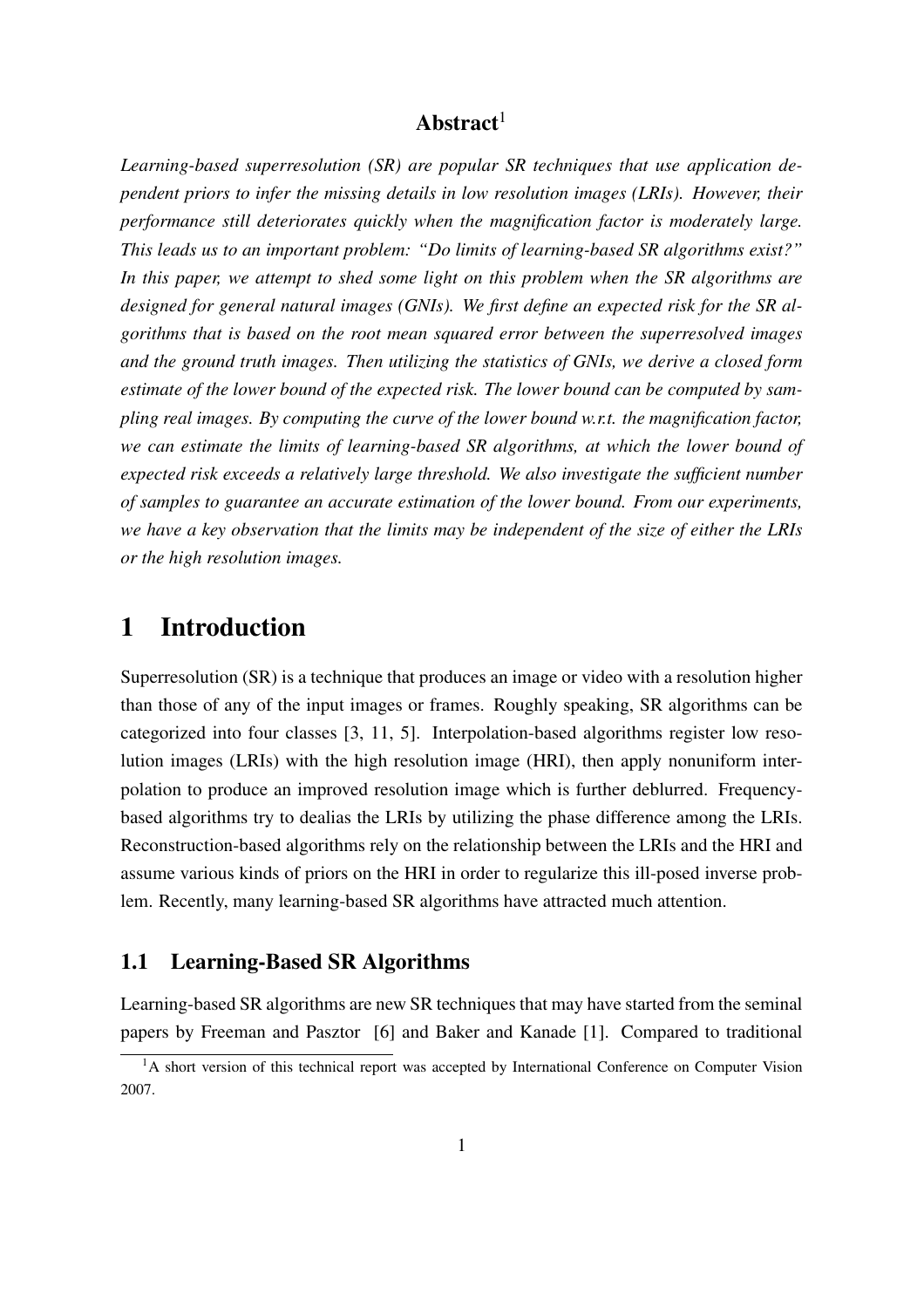## Abstract $1$

*Learning-based superresolution (SR) are popular SR techniques that use application dependent priors to infer the missing details in low resolution images (LRIs). However, their performance still deteriorates quickly when the magnification factor is moderately large. This leads us to an important problem: "Do limits of learning-based SR algorithms exist?" In this paper, we attempt to shed some light on this problem when the SR algorithms are designed for general natural images (GNIs). We first define an expected risk for the SR algorithms that is based on the root mean squared error between the superresolved images and the ground truth images. Then utilizing the statistics of GNIs, we derive a closed form estimate of the lower bound of the expected risk. The lower bound can be computed by sampling real images. By computing the curve of the lower bound w.r.t. the magnification factor, we can estimate the limits of learning-based SR algorithms, at which the lower bound of expected risk exceeds a relatively large threshold. We also investigate the sufficient number of samples to guarantee an accurate estimation of the lower bound. From our experiments, we have a key observation that the limits may be independent of the size of either the LRIs or the high resolution images.*

## 1 Introduction

Superresolution (SR) is a technique that produces an image or video with a resolution higher than those of any of the input images or frames. Roughly speaking, SR algorithms can be categorized into four classes [3, 11, 5]. Interpolation-based algorithms register low resolution images (LRIs) with the high resolution image (HRI), then apply nonuniform interpolation to produce an improved resolution image which is further deblurred. Frequencybased algorithms try to dealias the LRIs by utilizing the phase difference among the LRIs. Reconstruction-based algorithms rely on the relationship between the LRIs and the HRI and assume various kinds of priors on the HRI in order to regularize this ill-posed inverse problem. Recently, many learning-based SR algorithms have attracted much attention.

#### 1.1 Learning-Based SR Algorithms

Learning-based SR algorithms are new SR techniques that may have started from the seminal papers by Freeman and Pasztor [6] and Baker and Kanade [1]. Compared to traditional

<sup>&</sup>lt;sup>1</sup>A short version of this technical report was accepted by International Conference on Computer Vision 2007.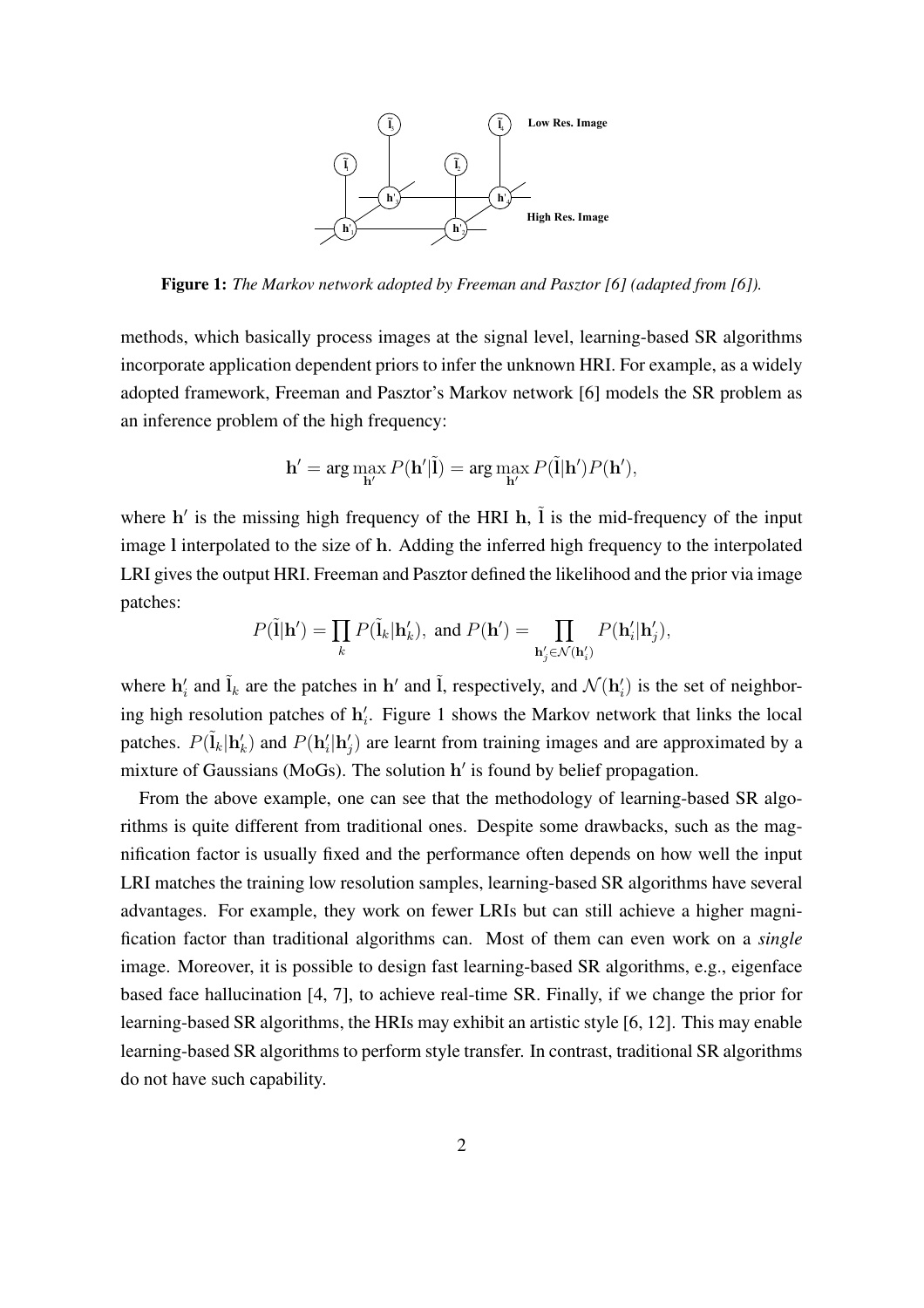

Figure 1: *The Markov network adopted by Freeman and Pasztor [6] (adapted from [6]).*

methods, which basically process images at the signal level, learning-based SR algorithms incorporate application dependent priors to infer the unknown HRI. For example, as a widely adopted framework, Freeman and Pasztor's Markov network [6] models the SR problem as an inference problem of the high frequency:

$$
\mathbf{h}' = \arg\max_{\mathbf{h}'} P(\mathbf{h}'|\tilde{\mathbf{l}}) = \arg\max_{\mathbf{h}'} P(\tilde{\mathbf{l}}|\mathbf{h}')P(\mathbf{h}'),
$$

where h' is the missing high frequency of the HRI h,  $\tilde{l}$  is the mid-frequency of the input image l interpolated to the size of h. Adding the inferred high frequency to the interpolated LRI gives the output HRI. Freeman and Pasztor defined the likelihood and the prior via image patches:

$$
P(\tilde{\mathbf{l}}|\mathbf{h}') = \prod_{k} P(\tilde{\mathbf{l}}_k|\mathbf{h}'_k), \text{ and } P(\mathbf{h}') = \prod_{\mathbf{h}'_j \in \mathcal{N}(\mathbf{h}'_i)} P(\mathbf{h}'_i|\mathbf{h}'_j),
$$

where  $\mathbf{h}'_i$  and  $\tilde{\mathbf{l}}_k$  are the patches in  $\mathbf{h}'$  and  $\tilde{\mathbf{l}}$ , respectively, and  $\mathcal{N}(\mathbf{h}'_i)$  is the set of neighboring high resolution patches of  $h'_i$ . Figure 1 shows the Markov network that links the local patches.  $P(\tilde{\mathbf{l}}_k | \mathbf{h}'_k)$  and  $P(\mathbf{h}'_i | \mathbf{h}'_j)$  are learnt from training images and are approximated by a mixture of Gaussians (MoGs). The solution h' is found by belief propagation.

From the above example, one can see that the methodology of learning-based SR algorithms is quite different from traditional ones. Despite some drawbacks, such as the magnification factor is usually fixed and the performance often depends on how well the input LRI matches the training low resolution samples, learning-based SR algorithms have several advantages. For example, they work on fewer LRIs but can still achieve a higher magnification factor than traditional algorithms can. Most of them can even work on a *single* image. Moreover, it is possible to design fast learning-based SR algorithms, e.g., eigenface based face hallucination [4, 7], to achieve real-time SR. Finally, if we change the prior for learning-based SR algorithms, the HRIs may exhibit an artistic style [6, 12]. This may enable learning-based SR algorithms to perform style transfer. In contrast, traditional SR algorithms do not have such capability.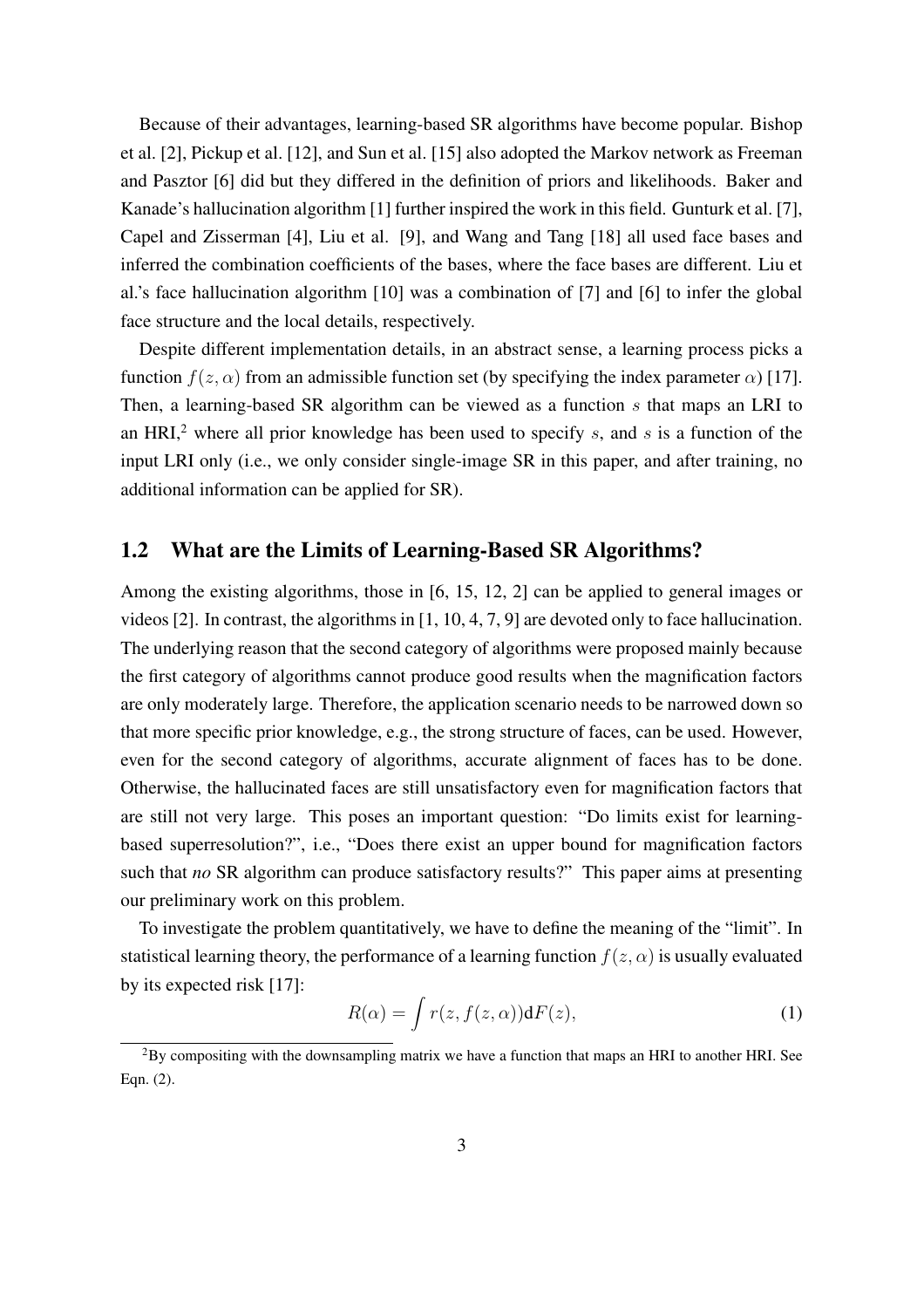Because of their advantages, learning-based SR algorithms have become popular. Bishop et al. [2], Pickup et al. [12], and Sun et al. [15] also adopted the Markov network as Freeman and Pasztor [6] did but they differed in the definition of priors and likelihoods. Baker and Kanade's hallucination algorithm [1] further inspired the work in this field. Gunturk et al. [7], Capel and Zisserman [4], Liu et al. [9], and Wang and Tang [18] all used face bases and inferred the combination coefficients of the bases, where the face bases are different. Liu et al.'s face hallucination algorithm [10] was a combination of [7] and [6] to infer the global face structure and the local details, respectively.

Despite different implementation details, in an abstract sense, a learning process picks a function  $f(z, \alpha)$  from an admissible function set (by specifying the index parameter  $\alpha$ ) [17]. Then, a learning-based SR algorithm can be viewed as a function  $s$  that maps an LRI to an HRI,<sup>2</sup> where all prior knowledge has been used to specify  $s$ , and  $s$  is a function of the input LRI only (i.e., we only consider single-image SR in this paper, and after training, no additional information can be applied for SR).

#### 1.2 What are the Limits of Learning-Based SR Algorithms?

Among the existing algorithms, those in [6, 15, 12, 2] can be applied to general images or videos [2]. In contrast, the algorithms in [1, 10, 4, 7, 9] are devoted only to face hallucination. The underlying reason that the second category of algorithms were proposed mainly because the first category of algorithms cannot produce good results when the magnification factors are only moderately large. Therefore, the application scenario needs to be narrowed down so that more specific prior knowledge, e.g., the strong structure of faces, can be used. However, even for the second category of algorithms, accurate alignment of faces has to be done. Otherwise, the hallucinated faces are still unsatisfactory even for magnification factors that are still not very large. This poses an important question: "Do limits exist for learningbased superresolution?", i.e., "Does there exist an upper bound for magnification factors such that *no* SR algorithm can produce satisfactory results?" This paper aims at presenting our preliminary work on this problem.

To investigate the problem quantitatively, we have to define the meaning of the "limit". In statistical learning theory, the performance of a learning function  $f(z, \alpha)$  is usually evaluated by its expected risk [17]:

$$
R(\alpha) = \int r(z, f(z, \alpha)) \mathrm{d}F(z), \tag{1}
$$

 ${}^{2}$ By compositing with the downsampling matrix we have a function that maps an HRI to another HRI. See Eqn. (2).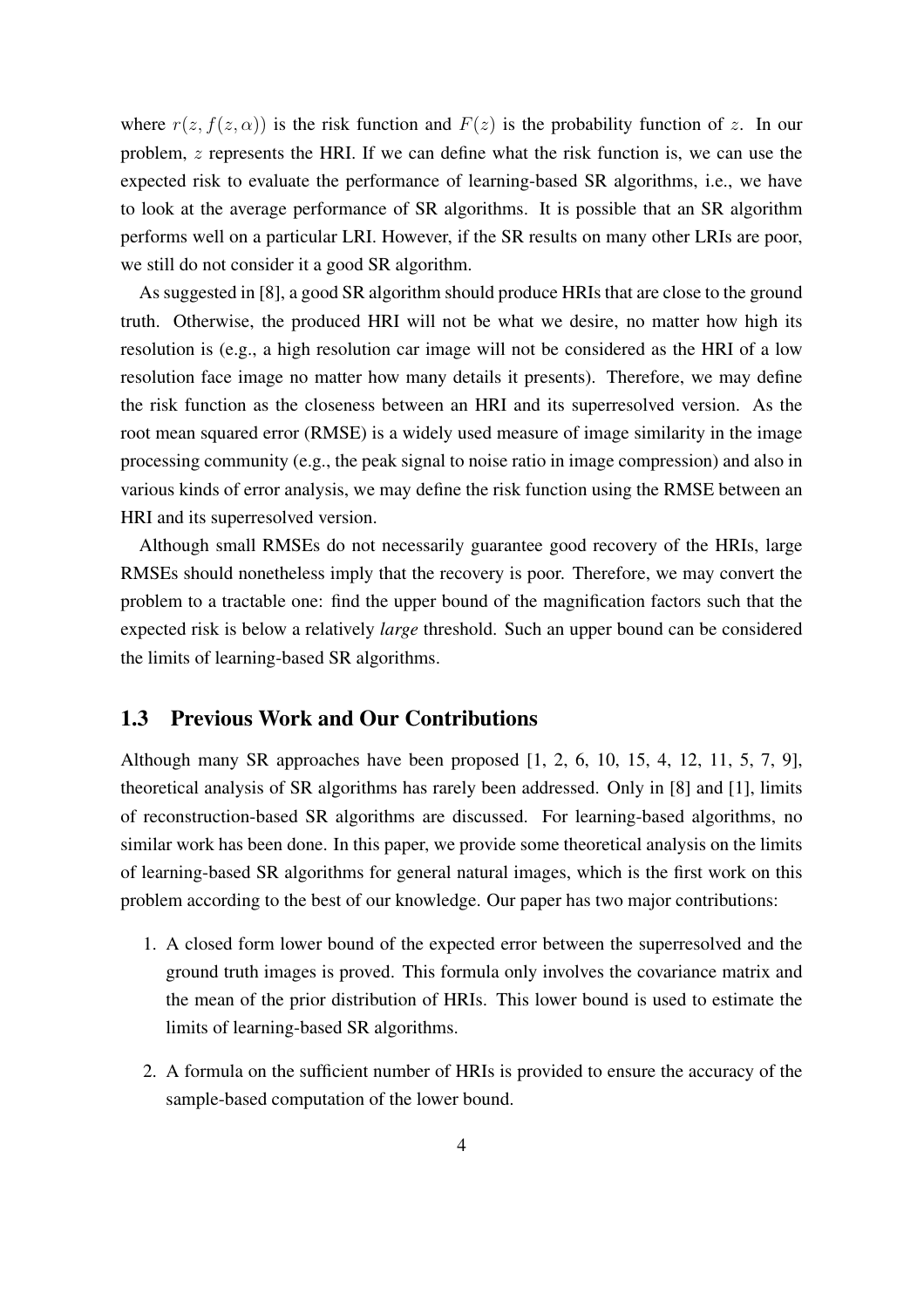where  $r(z, f(z, \alpha))$  is the risk function and  $F(z)$  is the probability function of z. In our problem, z represents the HRI. If we can define what the risk function is, we can use the expected risk to evaluate the performance of learning-based SR algorithms, i.e., we have to look at the average performance of SR algorithms. It is possible that an SR algorithm performs well on a particular LRI. However, if the SR results on many other LRIs are poor, we still do not consider it a good SR algorithm.

As suggested in [8], a good SR algorithm should produce HRIs that are close to the ground truth. Otherwise, the produced HRI will not be what we desire, no matter how high its resolution is (e.g., a high resolution car image will not be considered as the HRI of a low resolution face image no matter how many details it presents). Therefore, we may define the risk function as the closeness between an HRI and its superresolved version. As the root mean squared error (RMSE) is a widely used measure of image similarity in the image processing community (e.g., the peak signal to noise ratio in image compression) and also in various kinds of error analysis, we may define the risk function using the RMSE between an HRI and its superresolved version.

Although small RMSEs do not necessarily guarantee good recovery of the HRIs, large RMSEs should nonetheless imply that the recovery is poor. Therefore, we may convert the problem to a tractable one: find the upper bound of the magnification factors such that the expected risk is below a relatively *large* threshold. Such an upper bound can be considered the limits of learning-based SR algorithms.

#### 1.3 Previous Work and Our Contributions

Although many SR approaches have been proposed [1, 2, 6, 10, 15, 4, 12, 11, 5, 7, 9], theoretical analysis of SR algorithms has rarely been addressed. Only in [8] and [1], limits of reconstruction-based SR algorithms are discussed. For learning-based algorithms, no similar work has been done. In this paper, we provide some theoretical analysis on the limits of learning-based SR algorithms for general natural images, which is the first work on this problem according to the best of our knowledge. Our paper has two major contributions:

- 1. A closed form lower bound of the expected error between the superresolved and the ground truth images is proved. This formula only involves the covariance matrix and the mean of the prior distribution of HRIs. This lower bound is used to estimate the limits of learning-based SR algorithms.
- 2. A formula on the sufficient number of HRIs is provided to ensure the accuracy of the sample-based computation of the lower bound.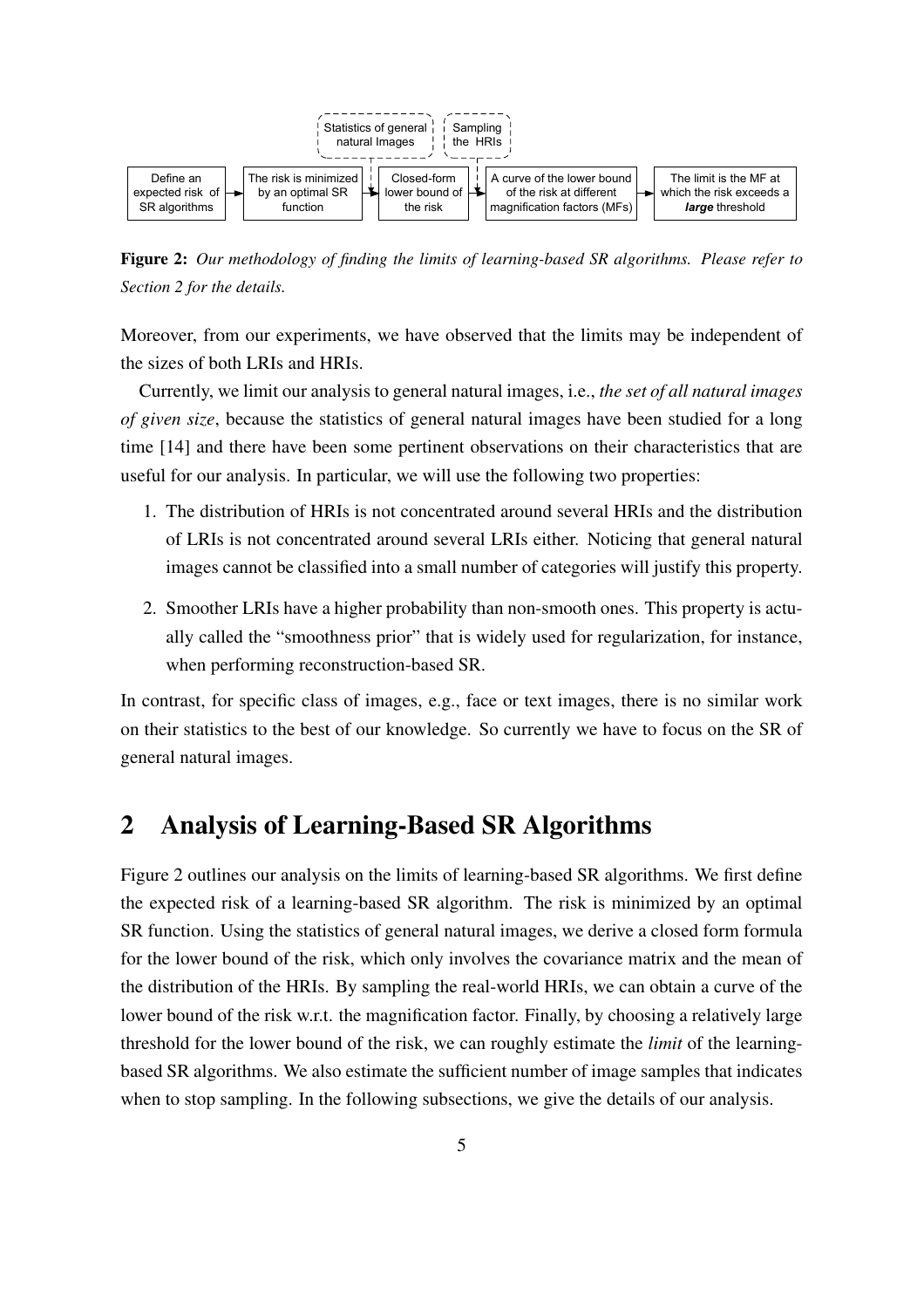

Figure 2: *Our methodology of finding the limits of learning-based SR algorithms. Please refer to Section 2 for the details.*

Moreover, from our experiments, we have observed that the limits may be independent of the sizes of both LRIs and HRIs.

Currently, we limit our analysis to general natural images, i.e., *the set of all natural images of given size*, because the statistics of general natural images have been studied for a long time [14] and there have been some pertinent observations on their characteristics that are useful for our analysis. In particular, we will use the following two properties:

- 1. The distribution of HRIs is not concentrated around several HRIs and the distribution of LRIs is not concentrated around several LRIs either. Noticing that general natural images cannot be classified into a small number of categories will justify this property.
- 2. Smoother LRIs have a higher probability than non-smooth ones. This property is actually called the "smoothness prior" that is widely used for regularization, for instance, when performing reconstruction-based SR.

In contrast, for specific class of images, e.g., face or text images, there is no similar work on their statistics to the best of our knowledge. So currently we have to focus on the SR of general natural images.

## 2 Analysis of Learning-Based SR Algorithms

Figure 2 outlines our analysis on the limits of learning-based SR algorithms. We first define the expected risk of a learning-based SR algorithm. The risk is minimized by an optimal SR function. Using the statistics of general natural images, we derive a closed form formula for the lower bound of the risk, which only involves the covariance matrix and the mean of the distribution of the HRIs. By sampling the real-world HRIs, we can obtain a curve of the lower bound of the risk w.r.t. the magnification factor. Finally, by choosing a relatively large threshold for the lower bound of the risk, we can roughly estimate the *limit* of the learningbased SR algorithms. We also estimate the sufficient number of image samples that indicates when to stop sampling. In the following subsections, we give the details of our analysis.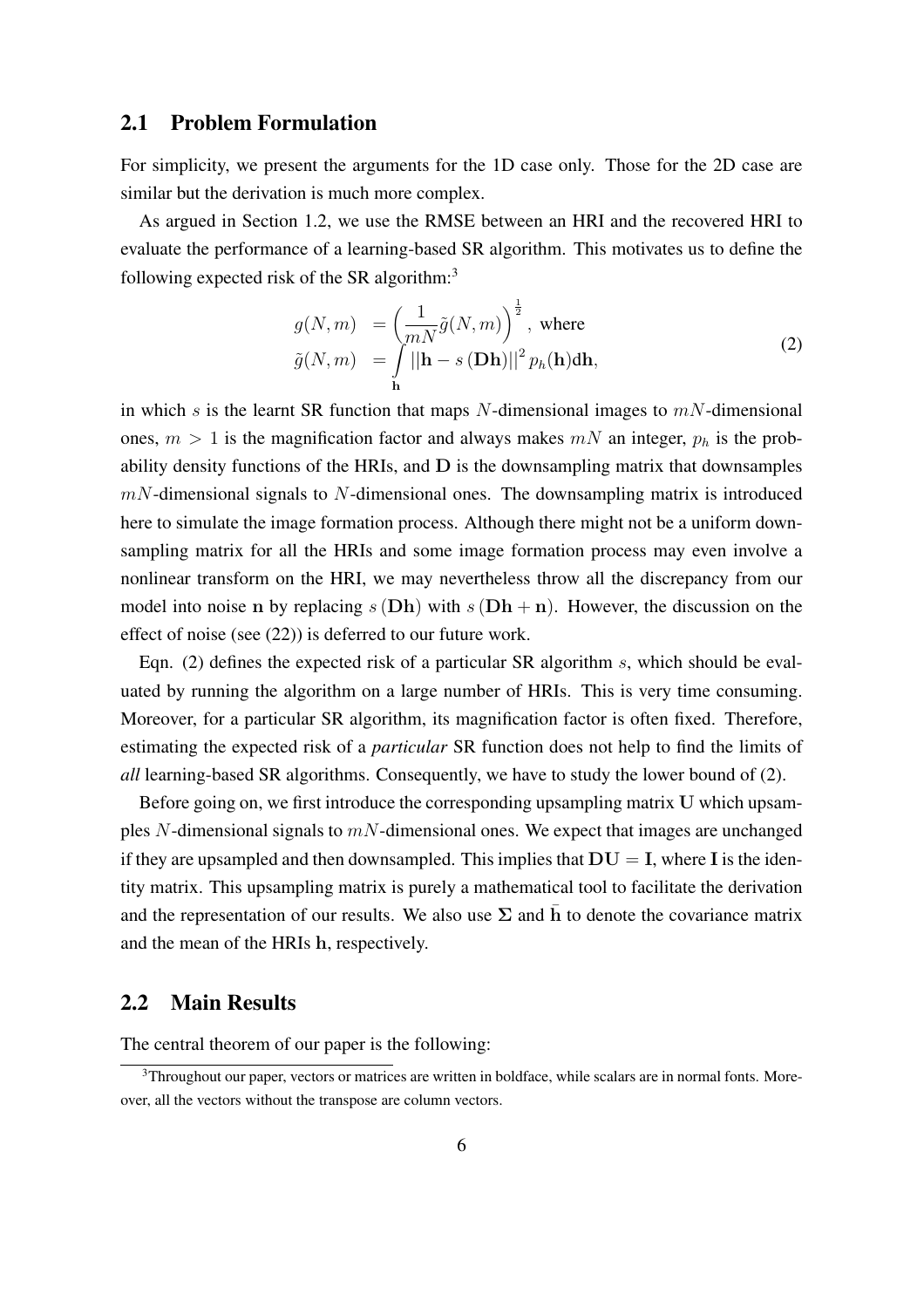#### 2.1 Problem Formulation

For simplicity, we present the arguments for the 1D case only. Those for the 2D case are similar but the derivation is much more complex.

As argued in Section 1.2, we use the RMSE between an HRI and the recovered HRI to evaluate the performance of a learning-based SR algorithm. This motivates us to define the following expected risk of the SR algorithm: $3$ 

$$
g(N,m) = \left(\frac{1}{mN}\tilde{g}(N,m)\right)^{\frac{1}{2}}, \text{ where}
$$
  

$$
\tilde{g}(N,m) = \int_{\mathbf{h}} ||\mathbf{h} - s(\mathbf{D}\mathbf{h})||^2 p_h(\mathbf{h}) d\mathbf{h},
$$
 (2)

in which s is the learnt SR function that maps N-dimensional images to  $mN$ -dimensional ones,  $m > 1$  is the magnification factor and always makes  $mN$  an integer,  $p_h$  is the probability density functions of the HRIs, and D is the downsampling matrix that downsamples  $mN$ -dimensional signals to  $N$ -dimensional ones. The downsampling matrix is introduced here to simulate the image formation process. Although there might not be a uniform downsampling matrix for all the HRIs and some image formation process may even involve a nonlinear transform on the HRI, we may nevertheless throw all the discrepancy from our model into noise n by replacing  $s(Dh)$  with  $s(Dh + n)$ . However, the discussion on the effect of noise (see (22)) is deferred to our future work.

Eqn. (2) defines the expected risk of a particular SR algorithm s, which should be evaluated by running the algorithm on a large number of HRIs. This is very time consuming. Moreover, for a particular SR algorithm, its magnification factor is often fixed. Therefore, estimating the expected risk of a *particular* SR function does not help to find the limits of *all* learning-based SR algorithms. Consequently, we have to study the lower bound of (2).

Before going on, we first introduce the corresponding upsampling matrix U which upsamples N-dimensional signals to  $mN$ -dimensional ones. We expect that images are unchanged if they are upsampled and then downsampled. This implies that  $DU = I$ , where I is the identity matrix. This upsampling matrix is purely a mathematical tool to facilitate the derivation and the representation of our results. We also use  $\Sigma$  and h to denote the covariance matrix and the mean of the HRIs h, respectively.

#### 2.2 Main Results

The central theorem of our paper is the following:

<sup>&</sup>lt;sup>3</sup>Throughout our paper, vectors or matrices are written in boldface, while scalars are in normal fonts. Moreover, all the vectors without the transpose are column vectors.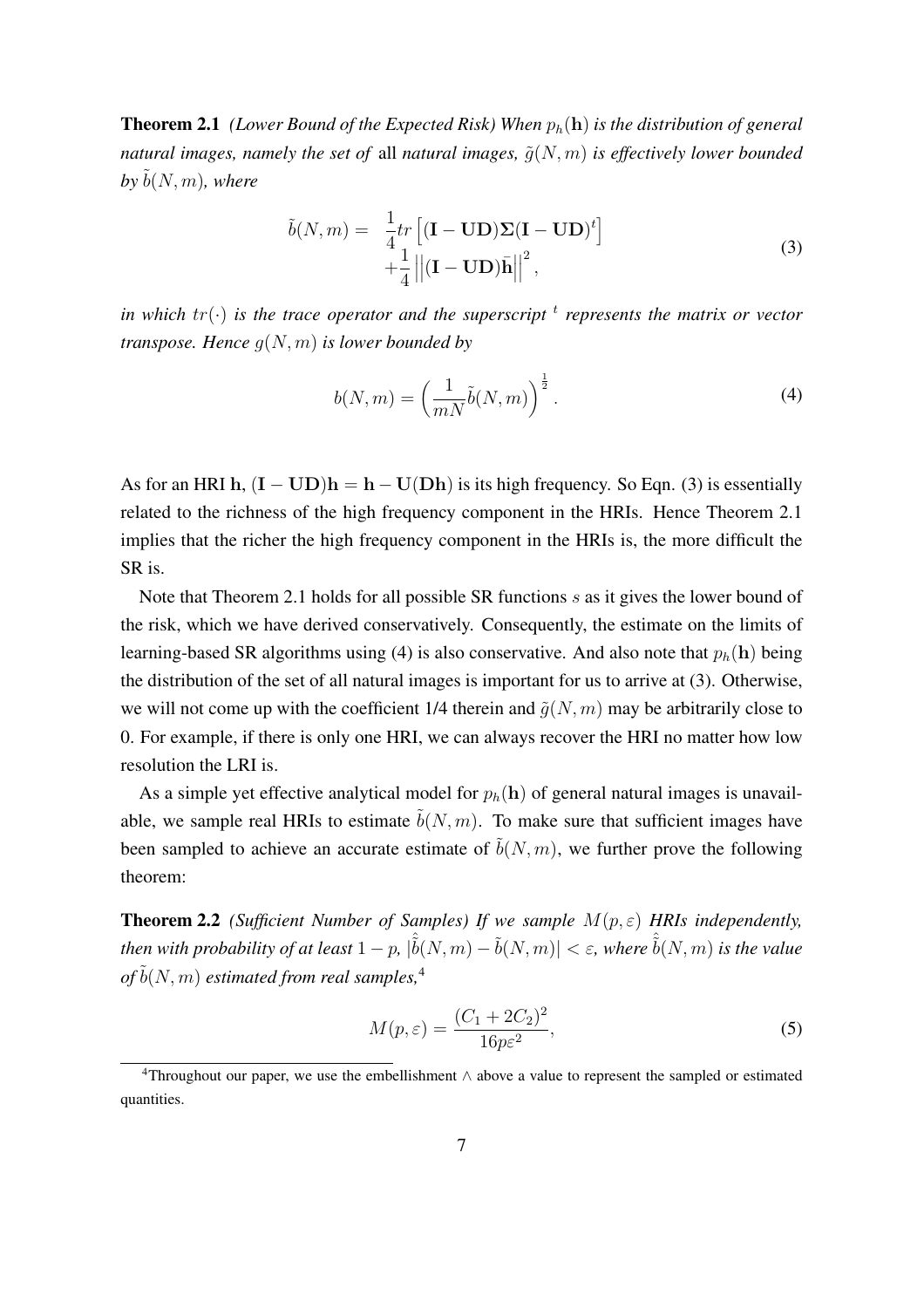Theorem 2.1 *(Lower Bound of the Expected Risk) When* ph(h) *is the distribution of general natural images, namely the set of all natural images,*  $\tilde{q}(N,m)$  *is effectively lower bounded*  $b \vee b(N, m)$ *, where* 

$$
\tilde{b}(N,m) = \frac{1}{4}tr\left[ (\mathbf{I} - \mathbf{U}\mathbf{D})\mathbf{\Sigma}(\mathbf{I} - \mathbf{U}\mathbf{D})^t \right] + \frac{1}{4} ||(\mathbf{I} - \mathbf{U}\mathbf{D})\bar{\mathbf{h}}||^2,
$$
\n(3)

*in which tr*( $\cdot$ ) *is the trace operator and the superscript*  $^t$  represents the matrix or vector *transpose. Hence* g(N, m) *is lower bounded by*

$$
b(N,m) = \left(\frac{1}{mN}\tilde{b}(N,m)\right)^{\frac{1}{2}}.
$$
\n(4)

As for an HRI h,  $(I - UD)h = h - U(Dh)$  is its high frequency. So Eqn. (3) is essentially related to the richness of the high frequency component in the HRIs. Hence Theorem 2.1 implies that the richer the high frequency component in the HRIs is, the more difficult the SR is.

Note that Theorem 2.1 holds for all possible SR functions s as it gives the lower bound of the risk, which we have derived conservatively. Consequently, the estimate on the limits of learning-based SR algorithms using (4) is also conservative. And also note that  $p_h(h)$  being the distribution of the set of all natural images is important for us to arrive at (3). Otherwise, we will not come up with the coefficient 1/4 therein and  $\tilde{q}(N, m)$  may be arbitrarily close to 0. For example, if there is only one HRI, we can always recover the HRI no matter how low resolution the LRI is.

As a simple yet effective analytical model for  $p_h(h)$  of general natural images is unavailable, we sample real HRIs to estimate  $\tilde{b}(N, m)$ . To make sure that sufficient images have been sampled to achieve an accurate estimate of  $\tilde{b}(N, m)$ , we further prove the following theorem:

**Theorem 2.2** *(Sufficient Number of Samples) If we sample*  $M(p, \varepsilon)$  *HRIs independently, then with probability of at least*  $1-p$ ,  $|\hat{b}(N,m) - \tilde{b}(N,m)| < \varepsilon$ , where  $\hat{b}(N,m)$  *is the value*  $of \tilde{b}(N, m)$  *estimated from real samples*,<sup>4</sup>

$$
M(p, \varepsilon) = \frac{(C_1 + 2C_2)^2}{16p\varepsilon^2},
$$
\n(5)

<sup>4</sup>Throughout our paper, we use the embellishment ∧ above a value to represent the sampled or estimated quantities.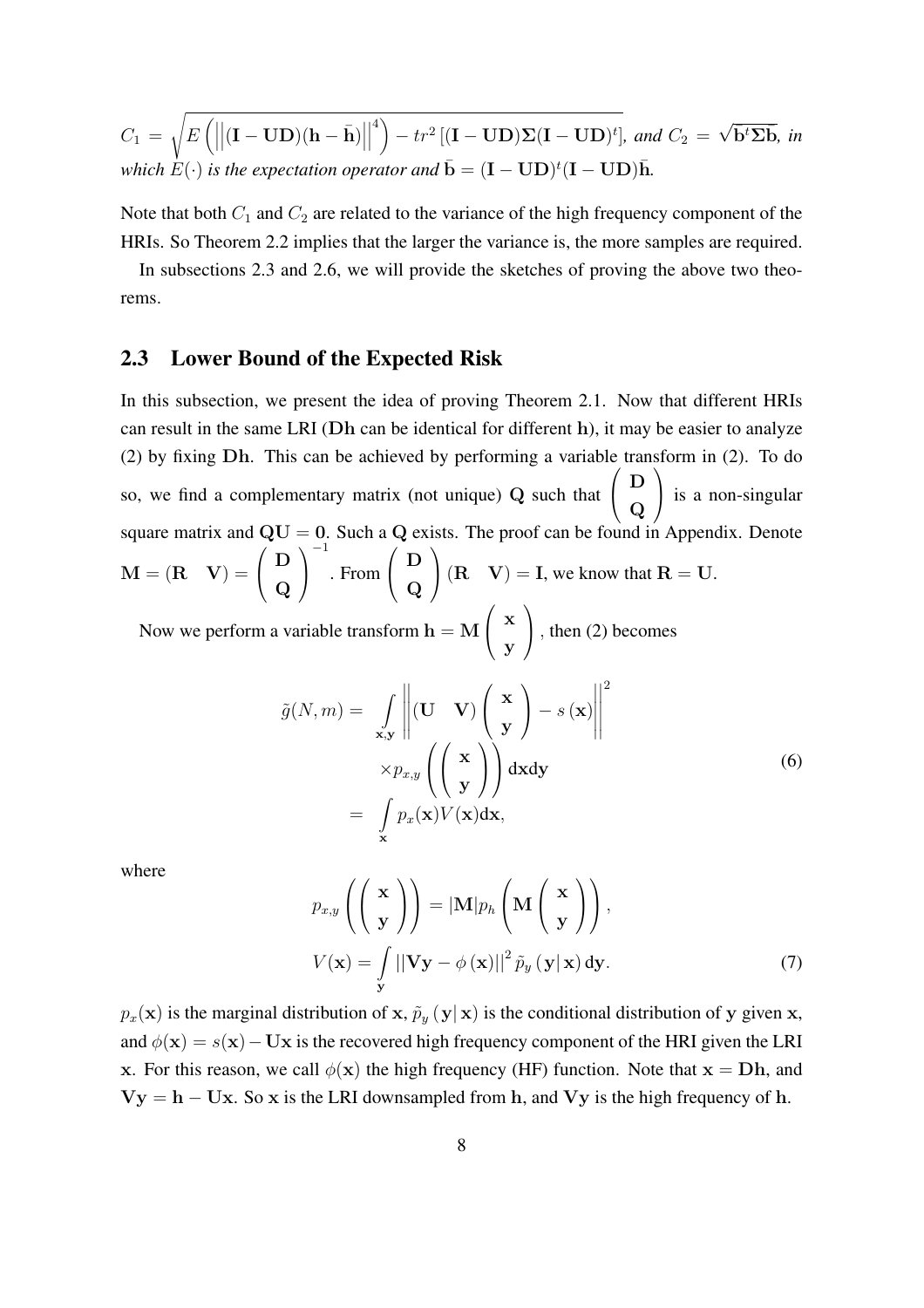$$
C_1 = \sqrt{E\left(\left\|\left(\mathbf{I} - \mathbf{U}\mathbf{D}\right)(\mathbf{h} - \bar{\mathbf{h}})\right\|^4\right) - tr^2\left[\left(\mathbf{I} - \mathbf{U}\mathbf{D}\right)\Sigma(\mathbf{I} - \mathbf{U}\mathbf{D})^t\right]}, \text{ and } C_2 = \sqrt{\bar{\mathbf{b}}^t \Sigma \bar{\mathbf{b}}}, \text{ in which } E(\cdot) \text{ is the expectation operator and } \bar{\mathbf{b}} = (\mathbf{I} - \mathbf{U}\mathbf{D})^t(\mathbf{I} - \mathbf{U}\mathbf{D})\bar{\mathbf{h}}.
$$

Note that both  $C_1$  and  $C_2$  are related to the variance of the high frequency component of the HRIs. So Theorem 2.2 implies that the larger the variance is, the more samples are required.

In subsections 2.3 and 2.6, we will provide the sketches of proving the above two theorems.

#### 2.3 Lower Bound of the Expected Risk

In this subsection, we present the idea of proving Theorem 2.1. Now that different HRIs can result in the same LRI (Dh can be identical for different h), it may be easier to analyze (2) by fixing  $Dh$ . This can be achieved by performing a variable transform in (2). To do so, we find a complementary matrix (not unique) Q such that  $\begin{pmatrix} D \end{pmatrix}$  $\overline{\bf Q}$  is a non-singular square matrix and  $QU = 0$ . Such a Q exists. The proof can be found in Appendix. Denote  $M = (R \ V) =$  $\ddot{\phantom{1}}$  $\bigcap$  $\bf Q$  $\overline{\phantom{a}}$  $\mathbf{I}$ −1 . From  $\ddot{\phantom{1}}$  $\left( \begin{array}{c} D \end{array} \right)$  $\bf Q$  $\frac{13}{1}$  $(R \quad V) = I$ , we know that  $R = U$ .  $\mathcal{L}^{\text{max}}$ 

Now we perform a variable transform  $h = M \left( \begin{array}{c} x \\ y \end{array} \right)$ y ), then (2) becomes

$$
\tilde{g}(N,m) = \int_{\mathbf{x},\mathbf{y}} \left\| (\mathbf{U} \ \mathbf{V}) \begin{pmatrix} \mathbf{x} \\ \mathbf{y} \end{pmatrix} - s(\mathbf{x}) \right\|^2
$$
\n
$$
\times p_{x,y} \left( \begin{pmatrix} \mathbf{x} \\ \mathbf{y} \end{pmatrix} \right) d\mathbf{x} d\mathbf{y}
$$
\n
$$
= \int_{\mathbf{x}} p_x(\mathbf{x}) V(\mathbf{x}) d\mathbf{x},
$$
\n(6)

where

$$
p_{x,y}\left(\begin{pmatrix} \mathbf{x} \\ \mathbf{y} \end{pmatrix}\right) = |\mathbf{M}|p_h\left(\mathbf{M}\begin{pmatrix} \mathbf{x} \\ \mathbf{y} \end{pmatrix}\right),
$$

$$
V(\mathbf{x}) = \int_{\mathbf{y}} ||\mathbf{V}\mathbf{y} - \phi(\mathbf{x})||^2 \tilde{p}_y(\mathbf{y}|\mathbf{x}) d\mathbf{y}.
$$
(7)

 $p_x(\mathbf{x})$  is the marginal distribution of x,  $\tilde{p}_y(\mathbf{y}|\mathbf{x})$  is the conditional distribution of y given x, and  $\phi(\mathbf{x}) = s(\mathbf{x}) - \mathbf{U}\mathbf{x}$  is the recovered high frequency component of the HRI given the LRI x. For this reason, we call  $\phi(x)$  the high frequency (HF) function. Note that  $x = Dh$ , and  $Vy = h - Ux$ . So x is the LRI downsampled from h, and Vy is the high frequency of h.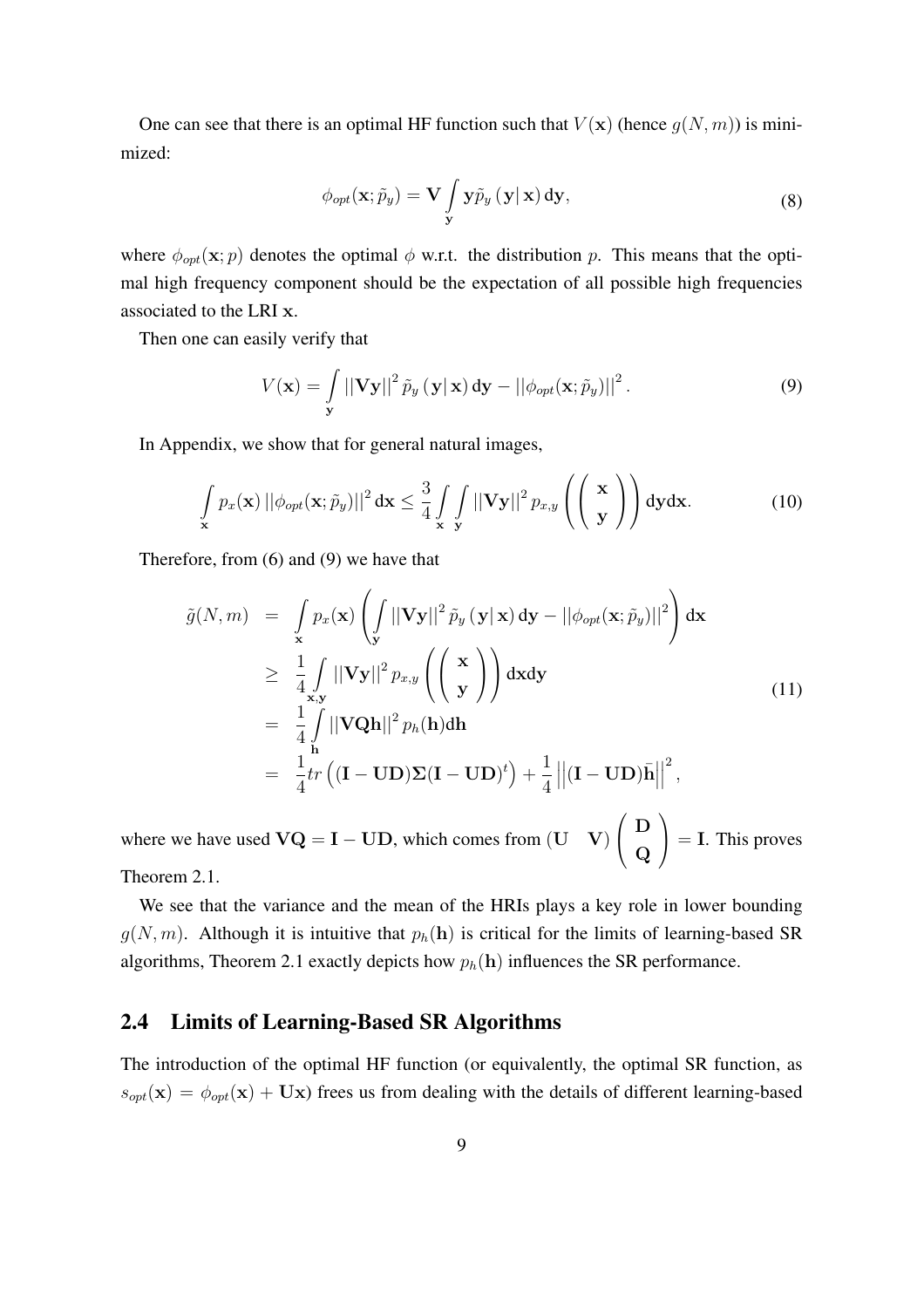One can see that there is an optimal HF function such that  $V(\mathbf{x})$  (hence  $g(N, m)$ ) is minimized:

$$
\phi_{opt}(\mathbf{x}; \tilde{p}_y) = \mathbf{V} \int_{\mathbf{y}} \mathbf{y} \tilde{p}_y(\mathbf{y}|\mathbf{x}) \, \mathrm{d}\mathbf{y},\tag{8}
$$

where  $\phi_{opt}(\mathbf{x}; p)$  denotes the optimal  $\phi$  w.r.t. the distribution p. This means that the optimal high frequency component should be the expectation of all possible high frequencies associated to the LRI x.

Then one can easily verify that

$$
V(\mathbf{x}) = \int_{\mathbf{y}} \left| |\mathbf{V} \mathbf{y}| \right|^2 \tilde{p}_y (\mathbf{y} | \mathbf{x}) d\mathbf{y} - ||\phi_{opt}(\mathbf{x}; \tilde{p}_y)||^2.
$$
 (9)

In Appendix, we show that for general natural images,

$$
\int_{\mathbf{x}} p_x(\mathbf{x}) \left| \left| \phi_{opt}(\mathbf{x}; \tilde{p}_y) \right| \right|^2 d\mathbf{x} \le \frac{3}{4} \int_{\mathbf{x}} \int_{\mathbf{y}} \left| |\mathbf{V} \mathbf{y}| \right|^2 p_{x,y} \left( \begin{pmatrix} \mathbf{x} \\ \mathbf{y} \end{pmatrix} \right) d\mathbf{y} d\mathbf{x}.
$$
 (10)

Therefore, from (6) and (9) we have that

$$
\tilde{g}(N,m) = \int_{\mathbf{x}} p_x(\mathbf{x}) \left( \int_{\mathbf{y}} ||\mathbf{V}\mathbf{y}||^2 \tilde{p}_y(\mathbf{y}|\mathbf{x}) d\mathbf{y} - ||\phi_{opt}(\mathbf{x}; \tilde{p}_y)||^2 \right) d\mathbf{x}
$$
\n
$$
\geq \frac{1}{4} \int_{\mathbf{x}, \mathbf{y}} ||\mathbf{V}\mathbf{y}||^2 p_{x,y} \left( \begin{pmatrix} \mathbf{x} \\ \mathbf{y} \end{pmatrix} \right) d\mathbf{x} d\mathbf{y}
$$
\n
$$
= \frac{1}{4} \int_{\mathbf{h}} ||\mathbf{VQ}\mathbf{h}||^2 p_h(\mathbf{h}) d\mathbf{h}
$$
\n
$$
= \frac{1}{4} tr \left( (\mathbf{I} - \mathbf{UD}) \Sigma (\mathbf{I} - \mathbf{UD})^t \right) + \frac{1}{4} ||(\mathbf{I} - \mathbf{UD})\bar{\mathbf{h}}||^2,
$$
\n(11)

where we have used  $VQ = I - UD$ , which comes from  $(U \ V)$  $\left( \begin{array}{c} \mathbf{D} \end{array} \right)$  $\overline{\bf Q}$  $\vert$  = I. This proves Theorem 2.1.

We see that the variance and the mean of the HRIs plays a key role in lower bounding  $g(N, m)$ . Although it is intuitive that  $p_h(h)$  is critical for the limits of learning-based SR

# algorithms, Theorem 2.1 exactly depicts how  $p_h(h)$  influences the SR performance.

## 2.4 Limits of Learning-Based SR Algorithms

The introduction of the optimal HF function (or equivalently, the optimal SR function, as  $s_{opt}(\mathbf{x}) = \phi_{opt}(\mathbf{x}) + \mathbf{U}\mathbf{x}$  frees us from dealing with the details of different learning-based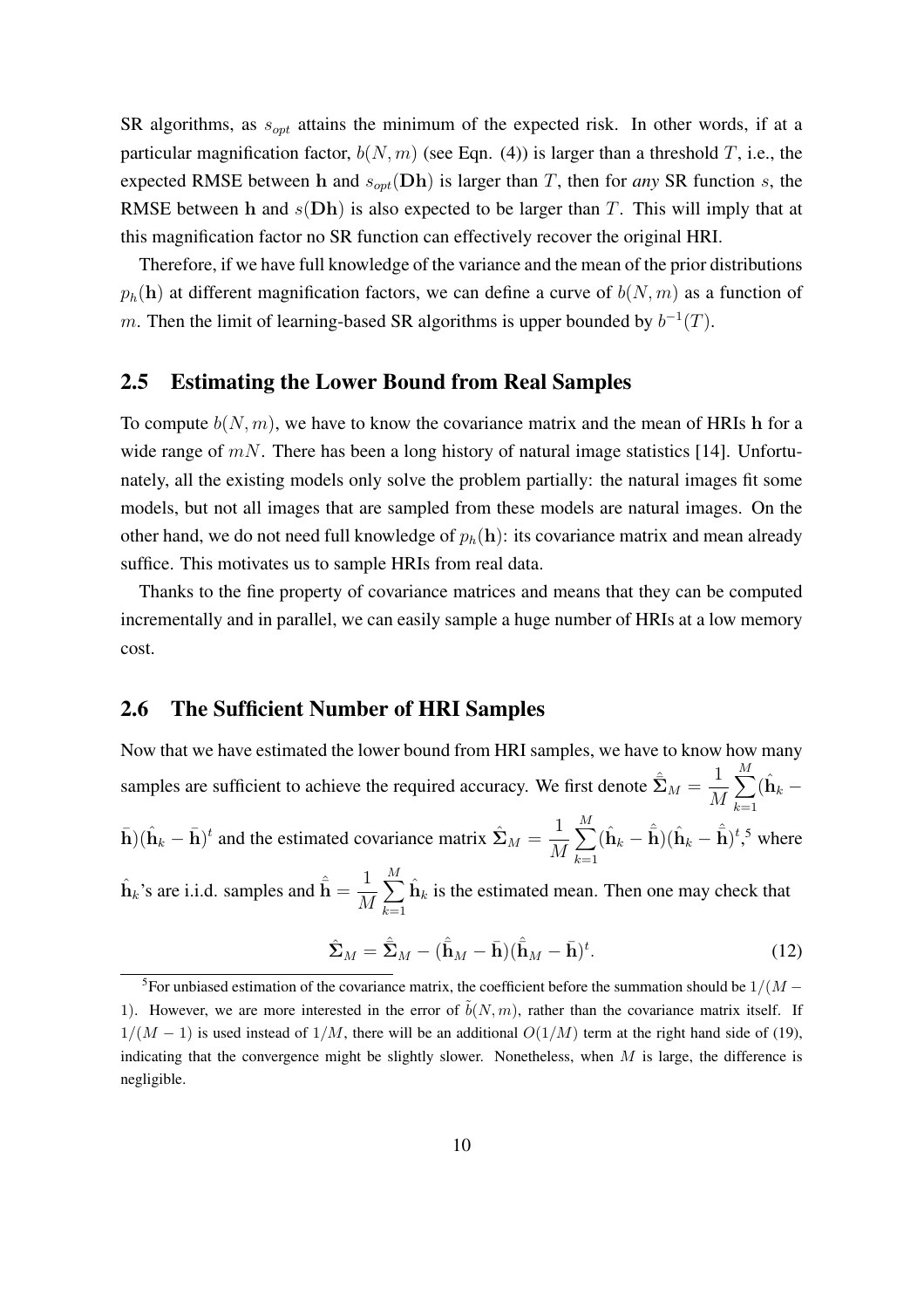SR algorithms, as  $s_{opt}$  attains the minimum of the expected risk. In other words, if at a particular magnification factor,  $b(N, m)$  (see Eqn. (4)) is larger than a threshold T, i.e., the expected RMSE between h and  $s_{opt}(Dh)$  is larger than T, then for *any* SR function s, the RMSE between h and  $s(Dh)$  is also expected to be larger than T. This will imply that at this magnification factor no SR function can effectively recover the original HRI.

Therefore, if we have full knowledge of the variance and the mean of the prior distributions  $p_h(\mathbf{h})$  at different magnification factors, we can define a curve of  $b(N, m)$  as a function of m. Then the limit of learning-based SR algorithms is upper bounded by  $b^{-1}(T)$ .

#### 2.5 Estimating the Lower Bound from Real Samples

To compute  $b(N, m)$ , we have to know the covariance matrix and the mean of HRIs h for a wide range of  $mN$ . There has been a long history of natural image statistics [14]. Unfortunately, all the existing models only solve the problem partially: the natural images fit some models, but not all images that are sampled from these models are natural images. On the other hand, we do not need full knowledge of  $p_h(h)$ : its covariance matrix and mean already suffice. This motivates us to sample HRIs from real data.

Thanks to the fine property of covariance matrices and means that they can be computed incrementally and in parallel, we can easily sample a huge number of HRIs at a low memory cost.

#### 2.6 The Sufficient Number of HRI Samples

Now that we have estimated the lower bound from HRI samples, we have to know how many samples are sufficient to achieve the required accuracy. We first denote  $\hat{\Sigma}_M = \frac{1}{M}$ M  $\frac{M}{\sqrt{2}}$  $k=1$  $(\hat{\mathbf{h}}_k$   $\bar{\mathbf{h}}$ )( $\hat{\mathbf{h}}_k - \bar{\mathbf{h}}$ )<sup>t</sup> and the estimated covariance matrix  $\hat{\mathbf{\Sigma}}_M = \frac{1}{N}$ M  $\frac{M}{\sqrt{2}}$  $k=1$  $(\hat{\mathbf{h}}_k - \hat{\bar{\mathbf{h}}})(\hat{\mathbf{h}}_k - \hat{\bar{\mathbf{h}}})^t$ ,<sup>5</sup> where  $\frac{M}{\sqrt{2}}$ 

 $\hat{\mathbf{h}}_k$ 's are i.i.d. samples and  $\hat{\bar{\mathbf{h}}} = \frac{1}{\lambda}$ M  $k=1$  $\hat{\mathbf{h}}_k$  is the estimated mean. Then one may check that

$$
\hat{\Sigma}_M = \hat{\bar{\Sigma}}_M - (\hat{\bar{\mathbf{h}}}_M - \bar{\mathbf{h}})(\hat{\bar{\mathbf{h}}}_M - \bar{\mathbf{h}})^t. \tag{12}
$$

<sup>&</sup>lt;sup>5</sup>For unbiased estimation of the covariance matrix, the coefficient before the summation should be  $1/(M -$ 1). However, we are more interested in the error of  $\tilde{b}(N,m)$ , rather than the covariance matrix itself. If  $1/(M - 1)$  is used instead of  $1/M$ , there will be an additional  $O(1/M)$  term at the right hand side of (19), indicating that the convergence might be slightly slower. Nonetheless, when  $M$  is large, the difference is negligible.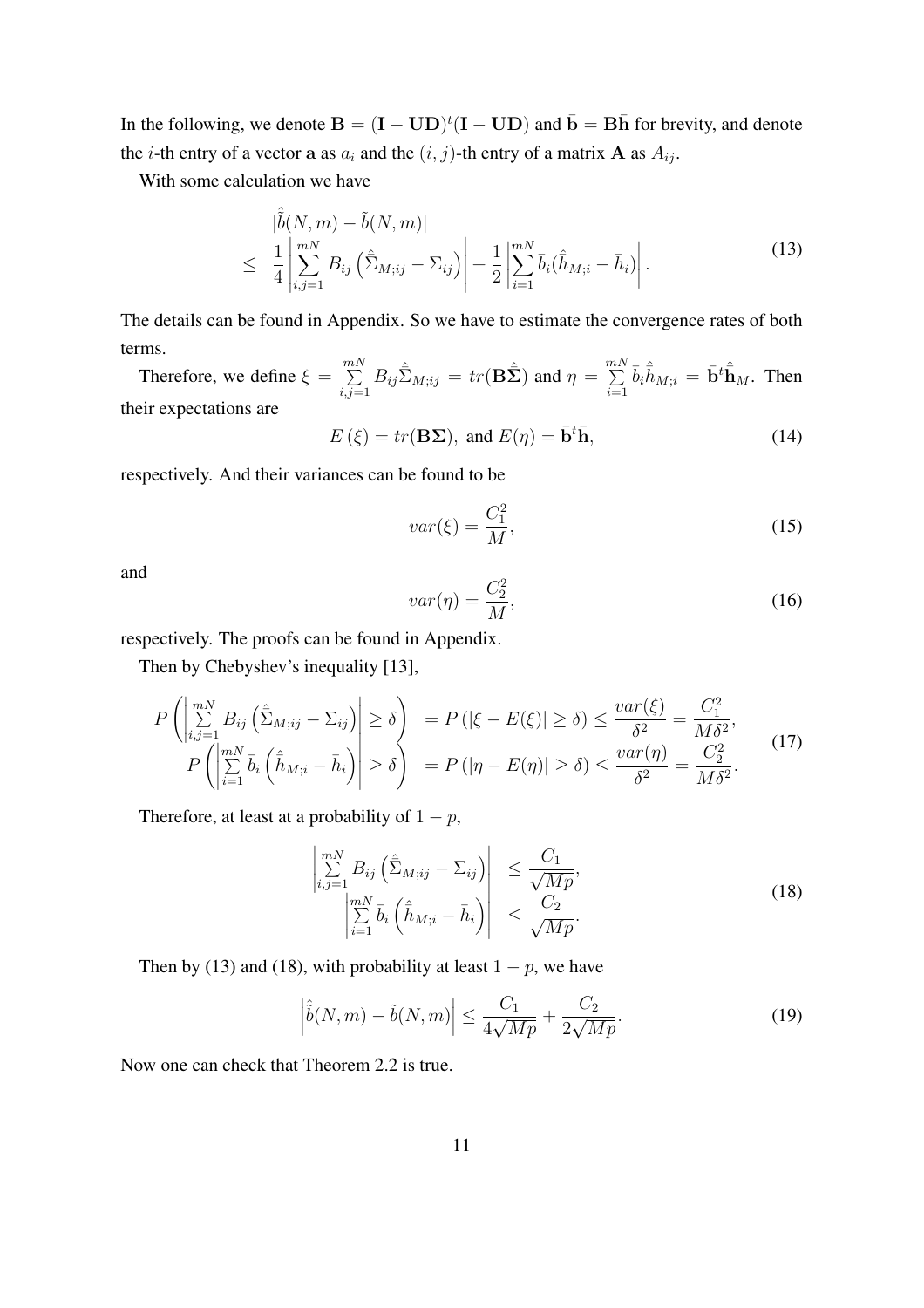In the following, we denote  $B = (I - UD)^t (I - UD)$  and  $\bar{b} = B\bar{h}$  for brevity, and denote the *i*-th entry of a vector a as  $a_i$  and the  $(i, j)$ -th entry of a matrix **A** as  $A_{ij}$ .

With some calculation we have

$$
\begin{split} \left| \hat{\tilde{b}}(N,m) - \tilde{b}(N,m) \right| \\ &\leq \left| \frac{1}{4} \left| \sum_{i,j=1}^{mN} B_{ij} \left( \hat{\bar{\Sigma}}_{M;ij} - \Sigma_{ij} \right) \right| + \frac{1}{2} \left| \sum_{i=1}^{mN} \bar{b}_i \left( \hat{\bar{h}}_{M;i} - \bar{h}_i \right) \right| . \end{split} \tag{13}
$$

The details can be found in Appendix. So we have to estimate the convergence rates of both terms.

Therefore, we define  $\xi = \sum_{n=1}^{m}$  $\sum_{i,j=1}^{mN} B_{ij} \hat{\Sigma}_{M;ij} = tr(\mathbf{B}\hat{\Sigma})$  and  $\eta = \sum_{i=1}^{mN}$  $\sum_{i=1}^{mN} \bar{b}_i \hat{\bar{h}}_{M;i} = \bar{\mathbf{b}}^t \hat{\bar{\mathbf{h}}}_M$ . Then their expectations are

$$
E(\xi) = tr(\mathbf{B}\Sigma), \text{ and } E(\eta) = \bar{\mathbf{b}}^t \bar{\mathbf{h}}, \tag{14}
$$

respectively. And their variances can be found to be

$$
var(\xi) = \frac{C_1^2}{M},\tag{15}
$$

and

$$
var(\eta) = \frac{C_2^2}{M},\tag{16}
$$

respectively. The proofs can be found in Appendix.

Then by Chebyshev's inequality [13],

$$
P\left(\left|\sum_{i,j=1}^{mN} B_{ij} \left(\hat{\Sigma}_{M;ij} - \Sigma_{ij}\right)\right| \ge \delta\right) = P\left(|\xi - E(\xi)| \ge \delta\right) \le \frac{var(\xi)}{\delta^2} = \frac{C_1^2}{M\delta^2},
$$
  
\n
$$
P\left(\left|\sum_{i=1}^{mN} \bar{b}_i \left(\hat{h}_{M;i} - \bar{h}_i\right)\right| \ge \delta\right) = P\left(|\eta - E(\eta)| \ge \delta\right) \le \frac{var(\eta)}{\delta^2} = \frac{C_2^2}{M\delta^2}.
$$
\n(17)

Therefore, at least at a probability of  $1 - p$ ,

$$
\begin{vmatrix}\n\sum_{i,j=1}^{mN} B_{ij} \left( \hat{\Sigma}_{M;ij} - \Sigma_{ij} \right) & \leq \frac{C_1}{\sqrt{Mp}}, \\
\left| \sum_{i=1}^{mN} \bar{b}_i \left( \hat{\bar{h}}_{M;i} - \bar{h}_i \right) \right| & \leq \frac{C_2}{\sqrt{Mp}}.\n\end{vmatrix}
$$
\n(18)

Then by (13) and (18), with probability at least  $1 - p$ , we have

$$
\left|\hat{\tilde{b}}(N,m) - \tilde{b}(N,m)\right| \le \frac{C_1}{4\sqrt{Mp}} + \frac{C_2}{2\sqrt{Mp}}.\tag{19}
$$

Now one can check that Theorem 2.2 is true.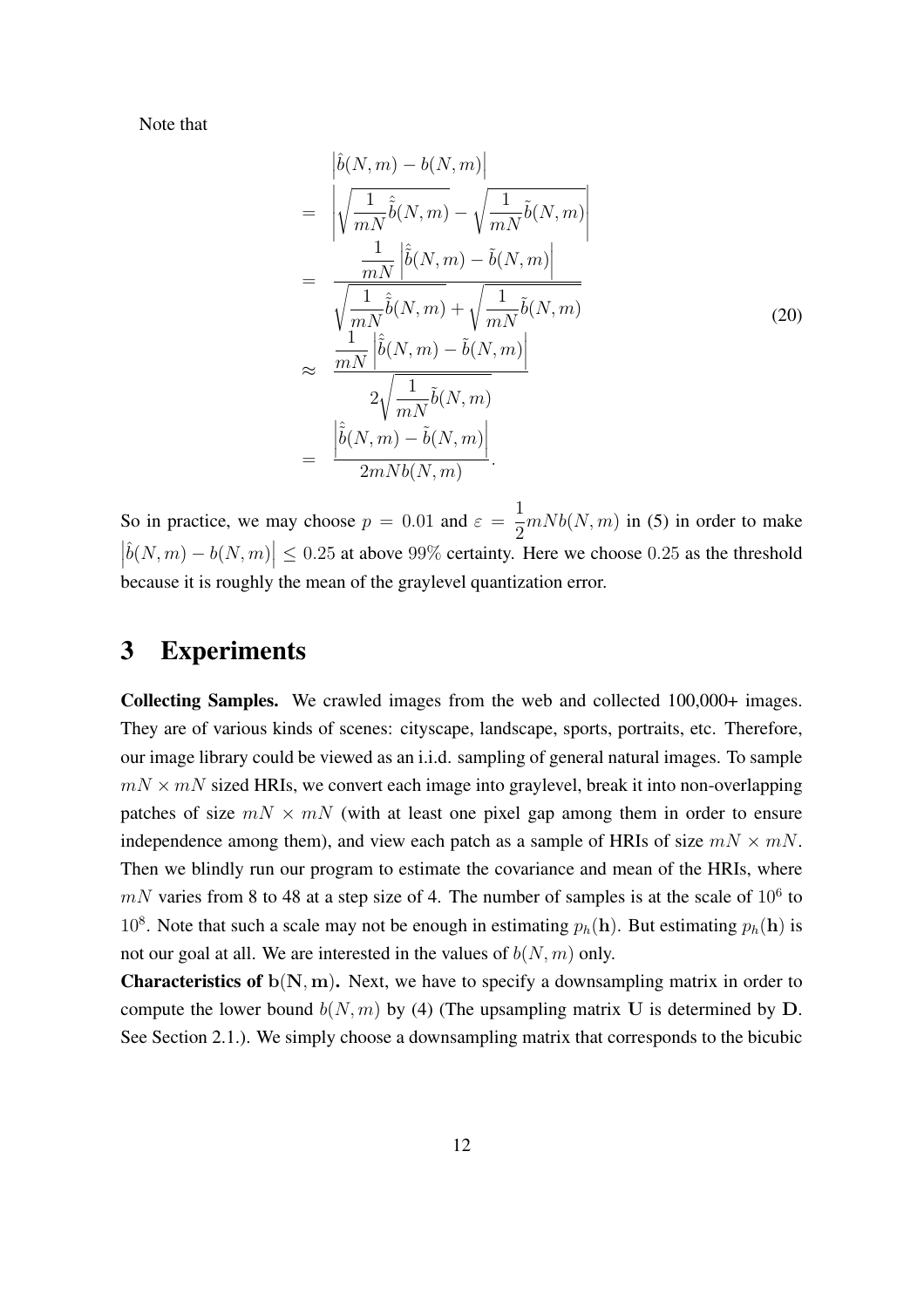Note that

$$
\begin{split}\n&= \left| \hat{b}(N,m) - b(N,m) \right| \\
&= \left| \sqrt{\frac{1}{mN} \hat{b}(N,m)} - \sqrt{\frac{1}{mN} \tilde{b}(N,m)} \right| \\
&= \frac{\frac{1}{mN} \left| \hat{b}(N,m) - \tilde{b}(N,m) \right|}{\sqrt{\frac{1}{mN} \hat{b}(N,m)} + \sqrt{\frac{1}{mN} \tilde{b}(N,m)}} \\
&\approx \frac{\frac{1}{mN} \left| \hat{b}(N,m) - \tilde{b}(N,m) \right|}{2\sqrt{\frac{1}{mN} \tilde{b}(N,m)}} \\
&= \frac{\left| \hat{b}(N,m) - \tilde{b}(N,m) \right|}{2mNb(N,m)}.\n\end{split} \tag{20}
$$

So in practice, we may choose  $p = 0.01$  and  $\varepsilon =$ 1 2  $mNb(N, m)$  in (5) in order to make  $\frac{1}{\sqrt{2}}$  $|\hat{b}(N,m) - b(N,m)| \le 0.25$  at above 99% certainty. Here we choose 0.25 as the threshold because it is roughly the mean of the graylevel quantization error.

## 3 Experiments

Collecting Samples. We crawled images from the web and collected 100,000+ images. They are of various kinds of scenes: cityscape, landscape, sports, portraits, etc. Therefore, our image library could be viewed as an i.i.d. sampling of general natural images. To sample  $mN \times mN$  sized HRIs, we convert each image into graylevel, break it into non-overlapping patches of size  $mN \times mN$  (with at least one pixel gap among them in order to ensure independence among them), and view each patch as a sample of HRIs of size  $mN \times mN$ . Then we blindly run our program to estimate the covariance and mean of the HRIs, where  $mN$  varies from 8 to 48 at a step size of 4. The number of samples is at the scale of  $10^6$  to 10<sup>8</sup>. Note that such a scale may not be enough in estimating  $p_h(h)$ . But estimating  $p_h(h)$  is not our goal at all. We are interested in the values of  $b(N, m)$  only.

**Characteristics of**  $b(N, m)$ . Next, we have to specify a downsampling matrix in order to compute the lower bound  $b(N, m)$  by (4) (The upsampling matrix U is determined by D. See Section 2.1.). We simply choose a downsampling matrix that corresponds to the bicubic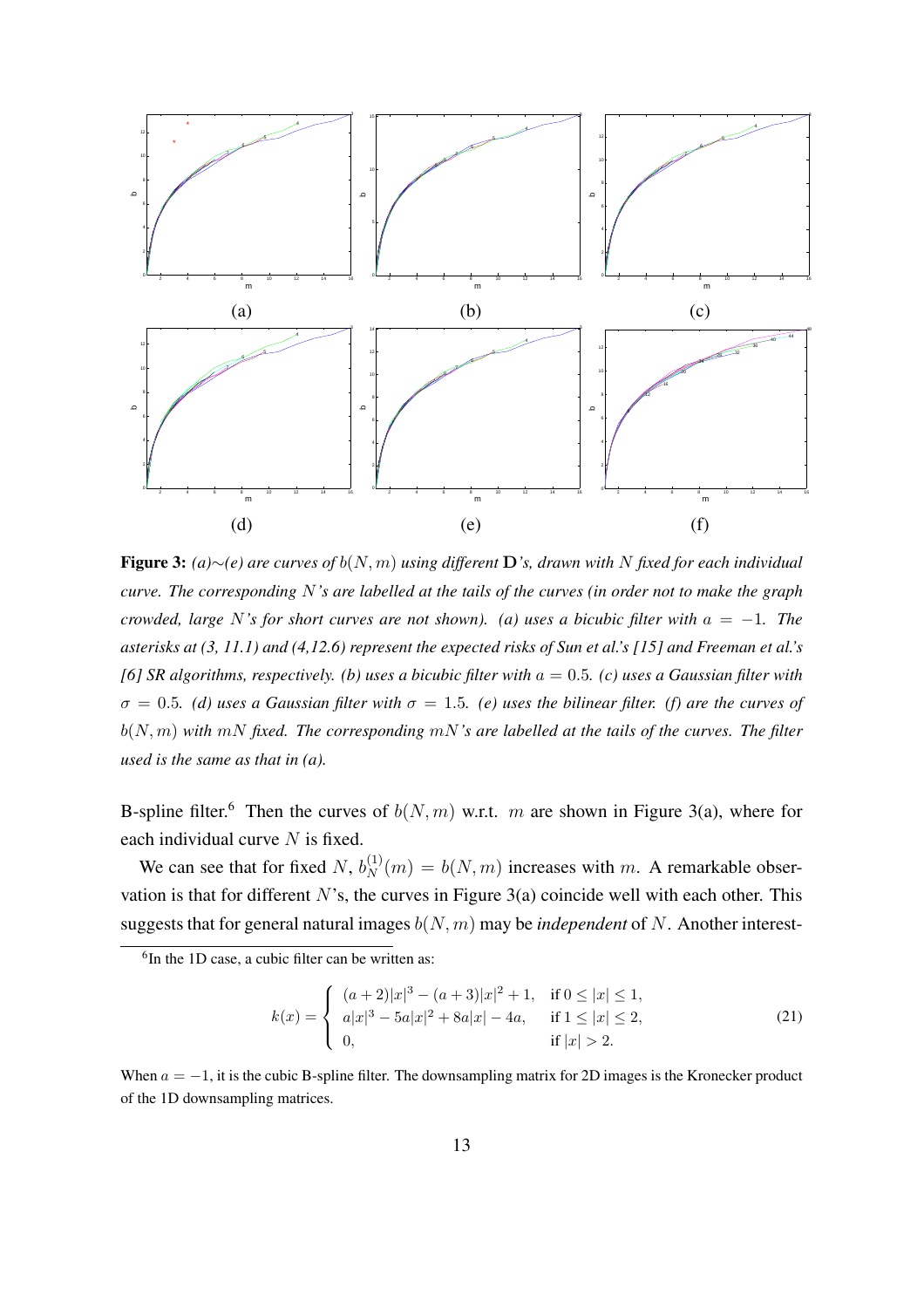

Figure 3: *(a)*∼*(e) are curves of* b(N, m) *using different* D*'s, drawn with* N *fixed for each individual curve. The corresponding* N*'s are labelled at the tails of the curves (in order not to make the graph crowded, large* N*'s for short curves are not shown). (a) uses a bicubic filter with* a = −1*. The asterisks at (3, 11.1) and (4,12.6) represent the expected risks of Sun et al.'s [15] and Freeman et al.'s [6] SR algorithms, respectively. (b) uses a bicubic filter with* a = 0.5*. (c) uses a Gaussian filter with*  $\sigma = 0.5$ *. (d) uses a Gaussian filter with*  $\sigma = 1.5$ *. (e) uses the bilinear filter. (f) are the curves of* b(N, m) *with* mN *fixed. The corresponding* mN*'s are labelled at the tails of the curves. The filter used is the same as that in (a).*

B-spline filter.<sup>6</sup> Then the curves of  $b(N, m)$  w.r.t. m are shown in Figure 3(a), where for each individual curve  $N$  is fixed.

We can see that for fixed N,  $b_N^{(1)}(m) = b(N, m)$  increases with m. A remarkable observation is that for different  $N$ 's, the curves in Figure 3(a) coincide well with each other. This suggests that for general natural images  $b(N, m)$  may be *independent* of N. Another interest-

<sup>6</sup>In the 1D case, a cubic filter can be written as:

$$
k(x) = \begin{cases} (a+2)|x|^3 - (a+3)|x|^2 + 1, & \text{if } 0 \le |x| \le 1, \\ a|x|^3 - 5a|x|^2 + 8a|x| - 4a, & \text{if } 1 \le |x| \le 2, \\ 0, & \text{if } |x| > 2. \end{cases}
$$
(21)

When  $a = -1$ , it is the cubic B-spline filter. The downsampling matrix for 2D images is the Kronecker product of the 1D downsampling matrices.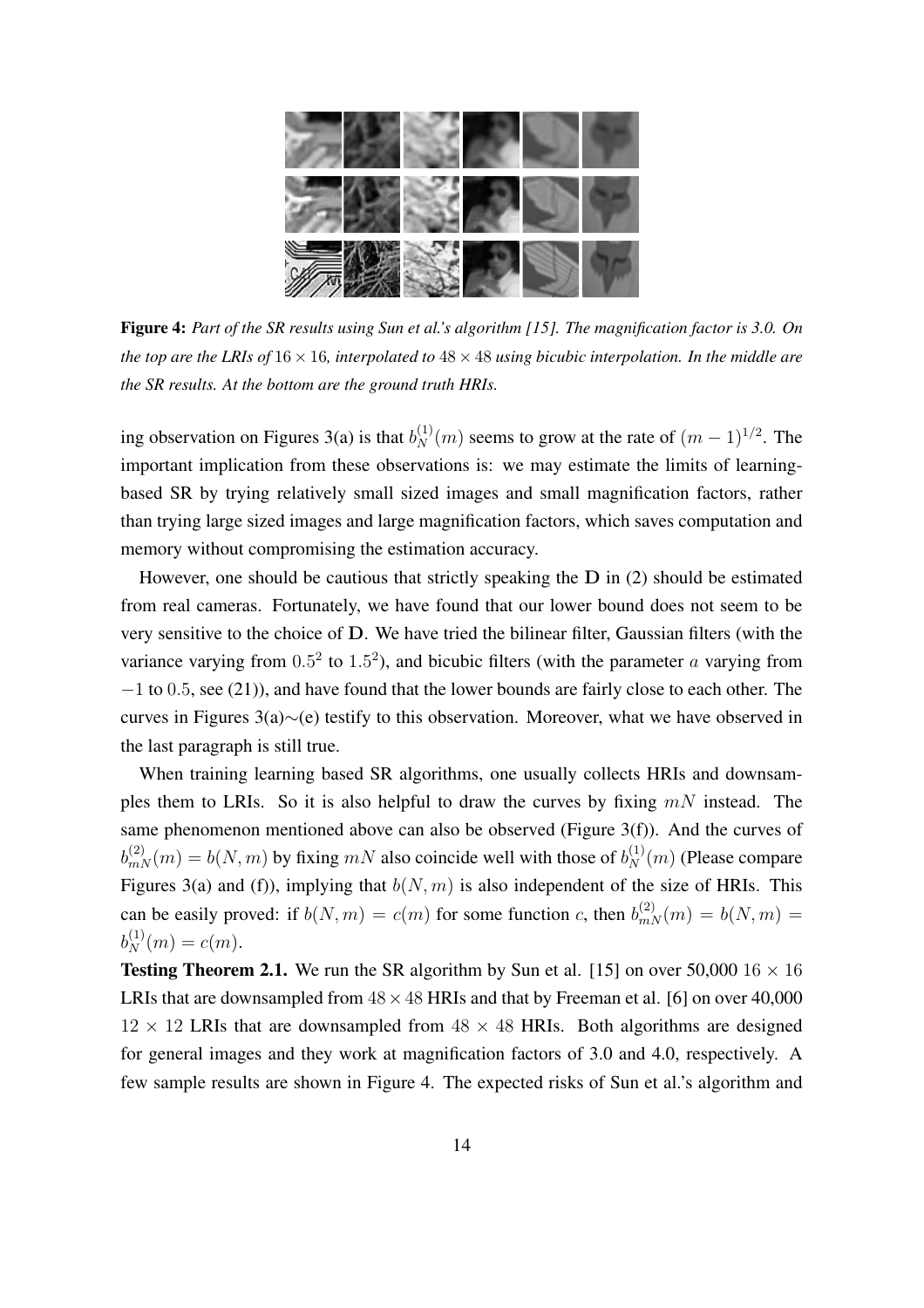

Figure 4: *Part of the SR results using Sun et al.'s algorithm [15]. The magnification factor is 3.0. On the top are the LRIs of* 16 × 16*, interpolated to* 48 × 48 *using bicubic interpolation. In the middle are the SR results. At the bottom are the ground truth HRIs.*

ing observation on Figures 3(a) is that  $b_N^{(1)}(m)$  seems to grow at the rate of  $(m-1)^{1/2}$ . The important implication from these observations is: we may estimate the limits of learningbased SR by trying relatively small sized images and small magnification factors, rather than trying large sized images and large magnification factors, which saves computation and memory without compromising the estimation accuracy.

However, one should be cautious that strictly speaking the D in (2) should be estimated from real cameras. Fortunately, we have found that our lower bound does not seem to be very sensitive to the choice of D. We have tried the bilinear filter, Gaussian filters (with the variance varying from  $0.5^2$  to  $1.5^2$ ), and bicubic filters (with the parameter a varying from −1 to 0.5, see (21)), and have found that the lower bounds are fairly close to each other. The curves in Figures 3(a)∼(e) testify to this observation. Moreover, what we have observed in the last paragraph is still true.

When training learning based SR algorithms, one usually collects HRIs and downsamples them to LRIs. So it is also helpful to draw the curves by fixing  $mN$  instead. The same phenomenon mentioned above can also be observed (Figure 3(f)). And the curves of  $b_{mN}^{(2)}(m) = b(N, m)$  by fixing  $mN$  also coincide well with those of  $b_N^{(1)}(m)$  (Please compare Figures 3(a) and (f)), implying that  $b(N, m)$  is also independent of the size of HRIs. This can be easily proved: if  $b(N, m) = c(m)$  for some function c, then  $b_{mN}^{(2)}(m) = b(N, m) =$  $b_N^{(1)}(m) = c(m).$ 

**Testing Theorem 2.1.** We run the SR algorithm by Sun et al. [15] on over 50,000  $16 \times 16$ LRIs that are downsampled from  $48 \times 48$  HRIs and that by Freeman et al. [6] on over 40,000  $12 \times 12$  LRIs that are downsampled from  $48 \times 48$  HRIs. Both algorithms are designed for general images and they work at magnification factors of 3.0 and 4.0, respectively. A few sample results are shown in Figure 4. The expected risks of Sun et al.'s algorithm and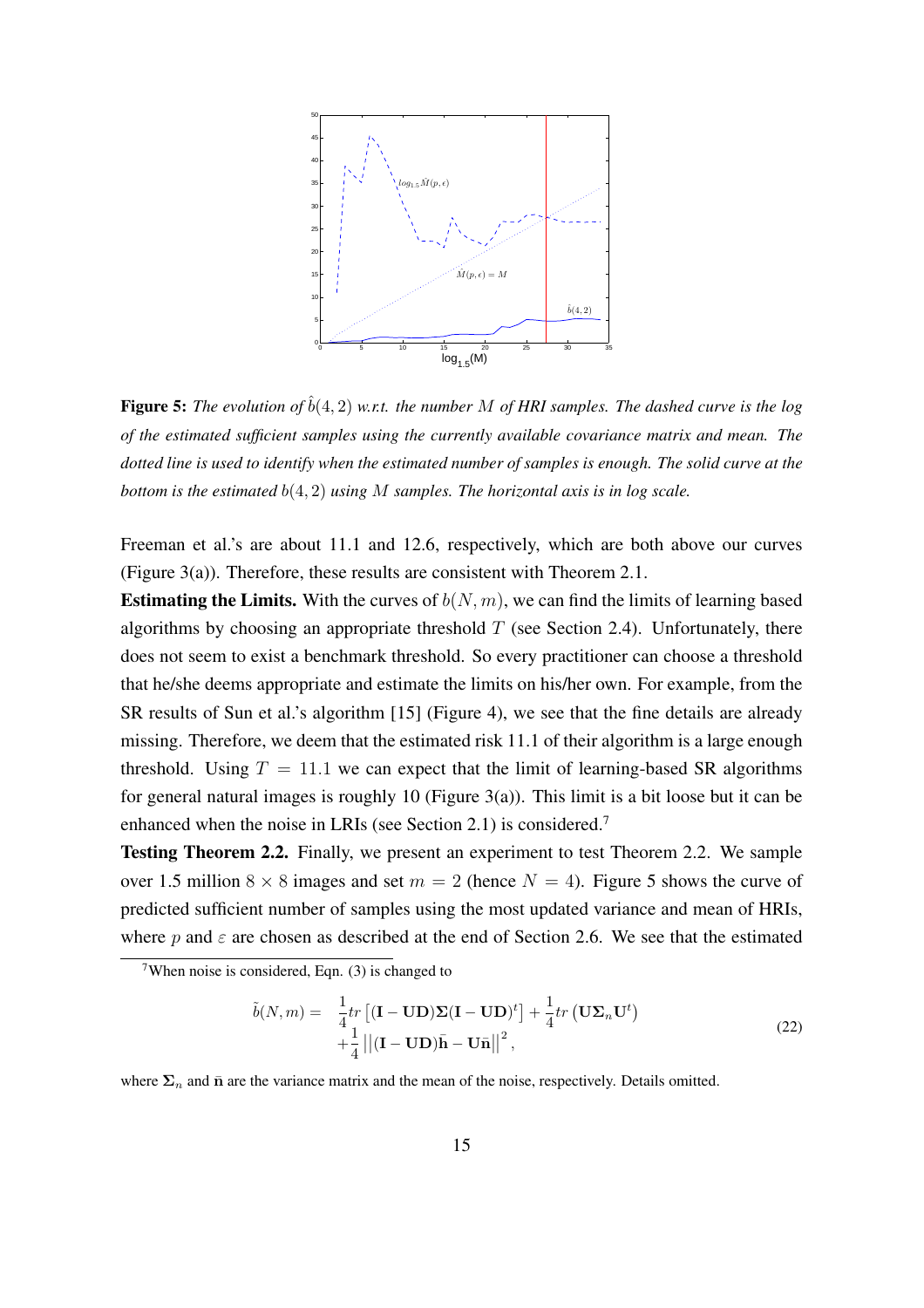

**Figure 5:** *The evolution of*  $\hat{b}(4,2)$  *w.r.t. the number* M *of HRI samples. The dashed curve is the log of the estimated sufficient samples using the currently available covariance matrix and mean. The dotted line is used to identify when the estimated number of samples is enough. The solid curve at the bottom is the estimated* b(4, 2) *using* M *samples. The horizontal axis is in log scale.*

Freeman et al.'s are about 11.1 and 12.6, respectively, which are both above our curves (Figure 3(a)). Therefore, these results are consistent with Theorem 2.1.

**Estimating the Limits.** With the curves of  $b(N, m)$ , we can find the limits of learning based algorithms by choosing an appropriate threshold  $T$  (see Section 2.4). Unfortunately, there does not seem to exist a benchmark threshold. So every practitioner can choose a threshold that he/she deems appropriate and estimate the limits on his/her own. For example, from the SR results of Sun et al.'s algorithm [15] (Figure 4), we see that the fine details are already missing. Therefore, we deem that the estimated risk 11.1 of their algorithm is a large enough threshold. Using  $T = 11.1$  we can expect that the limit of learning-based SR algorithms for general natural images is roughly 10 (Figure 3(a)). This limit is a bit loose but it can be enhanced when the noise in LRIs (see Section 2.1) is considered.<sup>7</sup>

Testing Theorem 2.2. Finally, we present an experiment to test Theorem 2.2. We sample over 1.5 million  $8 \times 8$  images and set  $m = 2$  (hence  $N = 4$ ). Figure 5 shows the curve of predicted sufficient number of samples using the most updated variance and mean of HRIs, where p and  $\varepsilon$  are chosen as described at the end of Section 2.6. We see that the estimated

$$
\tilde{b}(N,m) = \frac{1}{4}tr\left[ (\mathbf{I} - \mathbf{U}\mathbf{D})\mathbf{\Sigma}(\mathbf{I} - \mathbf{U}\mathbf{D})^t \right] + \frac{1}{4}tr\left( \mathbf{U}\mathbf{\Sigma}_n\mathbf{U}^t \right) \n+ \frac{1}{4} ||(\mathbf{I} - \mathbf{U}\mathbf{D})\bar{\mathbf{h}} - \mathbf{U}\bar{\mathbf{n}}||^2,
$$
\n(22)

where  $\Sigma_n$  and  $\bar{n}$  are the variance matrix and the mean of the noise, respectively. Details omitted.

<sup>&</sup>lt;sup>7</sup>When noise is considered, Eqn.  $(3)$  is changed to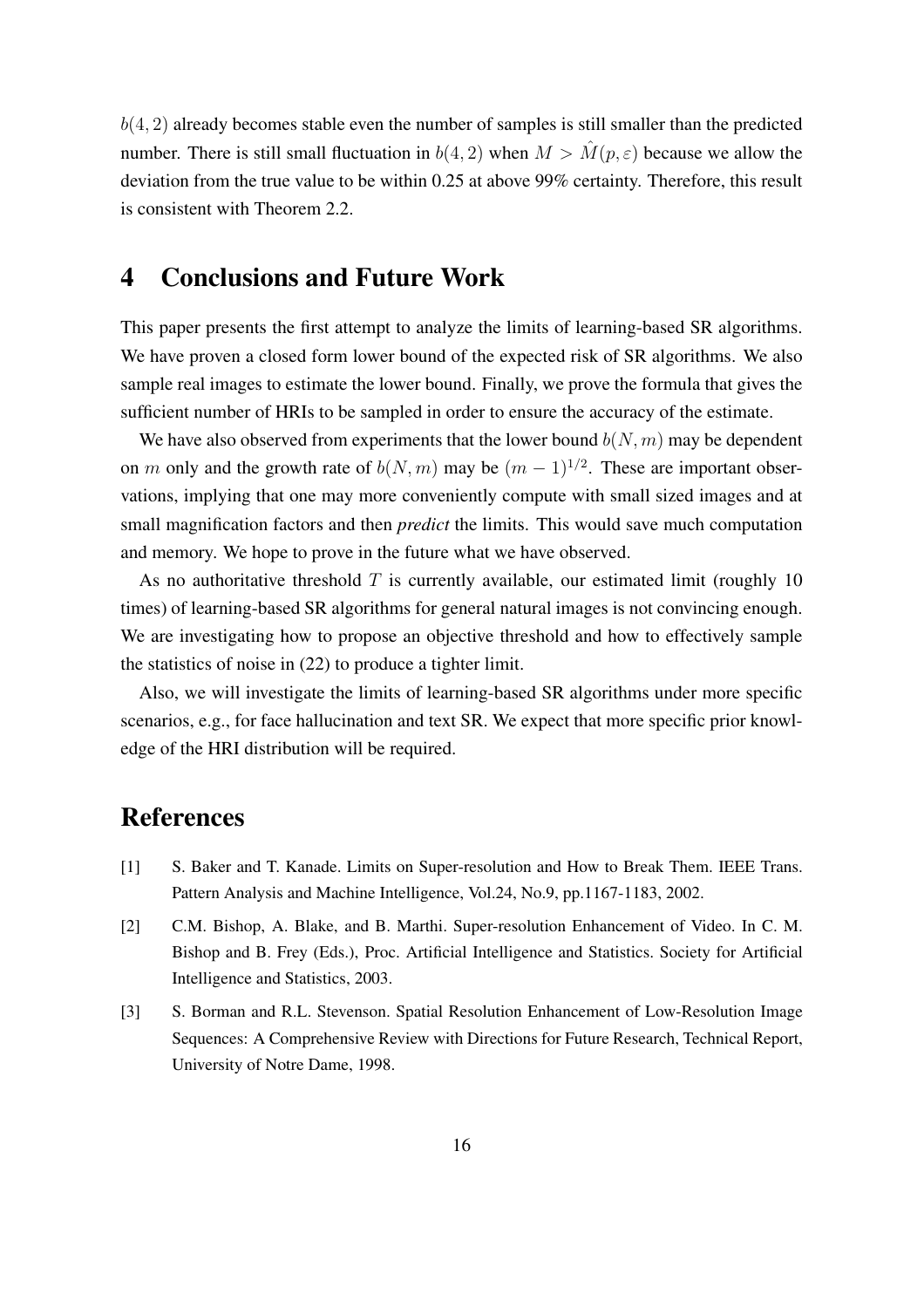$b(4, 2)$  already becomes stable even the number of samples is still smaller than the predicted number. There is still small fluctuation in  $b(4, 2)$  when  $M > M(p, \varepsilon)$  because we allow the deviation from the true value to be within 0.25 at above 99% certainty. Therefore, this result is consistent with Theorem 2.2.

## 4 Conclusions and Future Work

This paper presents the first attempt to analyze the limits of learning-based SR algorithms. We have proven a closed form lower bound of the expected risk of SR algorithms. We also sample real images to estimate the lower bound. Finally, we prove the formula that gives the sufficient number of HRIs to be sampled in order to ensure the accuracy of the estimate.

We have also observed from experiments that the lower bound  $b(N, m)$  may be dependent on m only and the growth rate of  $b(N, m)$  may be  $(m - 1)^{1/2}$ . These are important observations, implying that one may more conveniently compute with small sized images and at small magnification factors and then *predict* the limits. This would save much computation and memory. We hope to prove in the future what we have observed.

As no authoritative threshold  $T$  is currently available, our estimated limit (roughly 10 times) of learning-based SR algorithms for general natural images is not convincing enough. We are investigating how to propose an objective threshold and how to effectively sample the statistics of noise in (22) to produce a tighter limit.

Also, we will investigate the limits of learning-based SR algorithms under more specific scenarios, e.g., for face hallucination and text SR. We expect that more specific prior knowledge of the HRI distribution will be required.

## References

- [1] S. Baker and T. Kanade. Limits on Super-resolution and How to Break Them. IEEE Trans. Pattern Analysis and Machine Intelligence, Vol.24, No.9, pp.1167-1183, 2002.
- [2] C.M. Bishop, A. Blake, and B. Marthi. Super-resolution Enhancement of Video. In C. M. Bishop and B. Frey (Eds.), Proc. Artificial Intelligence and Statistics. Society for Artificial Intelligence and Statistics, 2003.
- [3] S. Borman and R.L. Stevenson. Spatial Resolution Enhancement of Low-Resolution Image Sequences: A Comprehensive Review with Directions for Future Research, Technical Report, University of Notre Dame, 1998.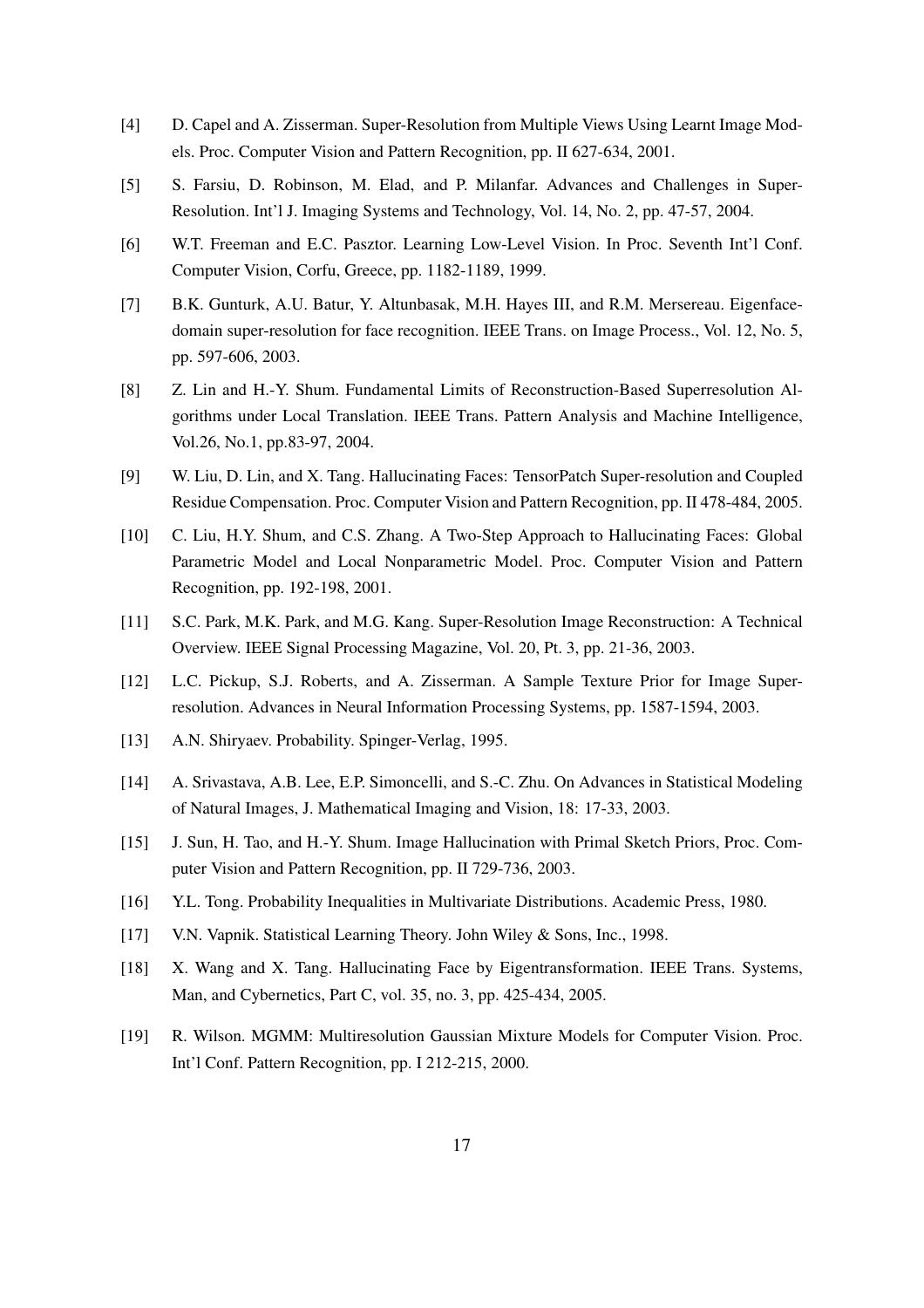- [4] D. Capel and A. Zisserman. Super-Resolution from Multiple Views Using Learnt Image Models. Proc. Computer Vision and Pattern Recognition, pp. II 627-634, 2001.
- [5] S. Farsiu, D. Robinson, M. Elad, and P. Milanfar. Advances and Challenges in Super-Resolution. Int'l J. Imaging Systems and Technology, Vol. 14, No. 2, pp. 47-57, 2004.
- [6] W.T. Freeman and E.C. Pasztor. Learning Low-Level Vision. In Proc. Seventh Int'l Conf. Computer Vision, Corfu, Greece, pp. 1182-1189, 1999.
- [7] B.K. Gunturk, A.U. Batur, Y. Altunbasak, M.H. Hayes III, and R.M. Mersereau. Eigenfacedomain super-resolution for face recognition. IEEE Trans. on Image Process., Vol. 12, No. 5, pp. 597-606, 2003.
- [8] Z. Lin and H.-Y. Shum. Fundamental Limits of Reconstruction-Based Superresolution Algorithms under Local Translation. IEEE Trans. Pattern Analysis and Machine Intelligence, Vol.26, No.1, pp.83-97, 2004.
- [9] W. Liu, D. Lin, and X. Tang. Hallucinating Faces: TensorPatch Super-resolution and Coupled Residue Compensation. Proc. Computer Vision and Pattern Recognition, pp. II 478-484, 2005.
- [10] C. Liu, H.Y. Shum, and C.S. Zhang. A Two-Step Approach to Hallucinating Faces: Global Parametric Model and Local Nonparametric Model. Proc. Computer Vision and Pattern Recognition, pp. 192-198, 2001.
- [11] S.C. Park, M.K. Park, and M.G. Kang. Super-Resolution Image Reconstruction: A Technical Overview. IEEE Signal Processing Magazine, Vol. 20, Pt. 3, pp. 21-36, 2003.
- [12] L.C. Pickup, S.J. Roberts, and A. Zisserman. A Sample Texture Prior for Image Superresolution. Advances in Neural Information Processing Systems, pp. 1587-1594, 2003.
- [13] A.N. Shiryaev. Probability. Spinger-Verlag, 1995.
- [14] A. Srivastava, A.B. Lee, E.P. Simoncelli, and S.-C. Zhu. On Advances in Statistical Modeling of Natural Images, J. Mathematical Imaging and Vision, 18: 17-33, 2003.
- [15] J. Sun, H. Tao, and H.-Y. Shum. Image Hallucination with Primal Sketch Priors, Proc. Computer Vision and Pattern Recognition, pp. II 729-736, 2003.
- [16] Y.L. Tong. Probability Inequalities in Multivariate Distributions. Academic Press, 1980.
- [17] V.N. Vapnik. Statistical Learning Theory. John Wiley & Sons, Inc., 1998.
- [18] X. Wang and X. Tang. Hallucinating Face by Eigentransformation. IEEE Trans. Systems, Man, and Cybernetics, Part C, vol. 35, no. 3, pp. 425-434, 2005.
- [19] R. Wilson. MGMM: Multiresolution Gaussian Mixture Models for Computer Vision. Proc. Int'l Conf. Pattern Recognition, pp. I 212-215, 2000.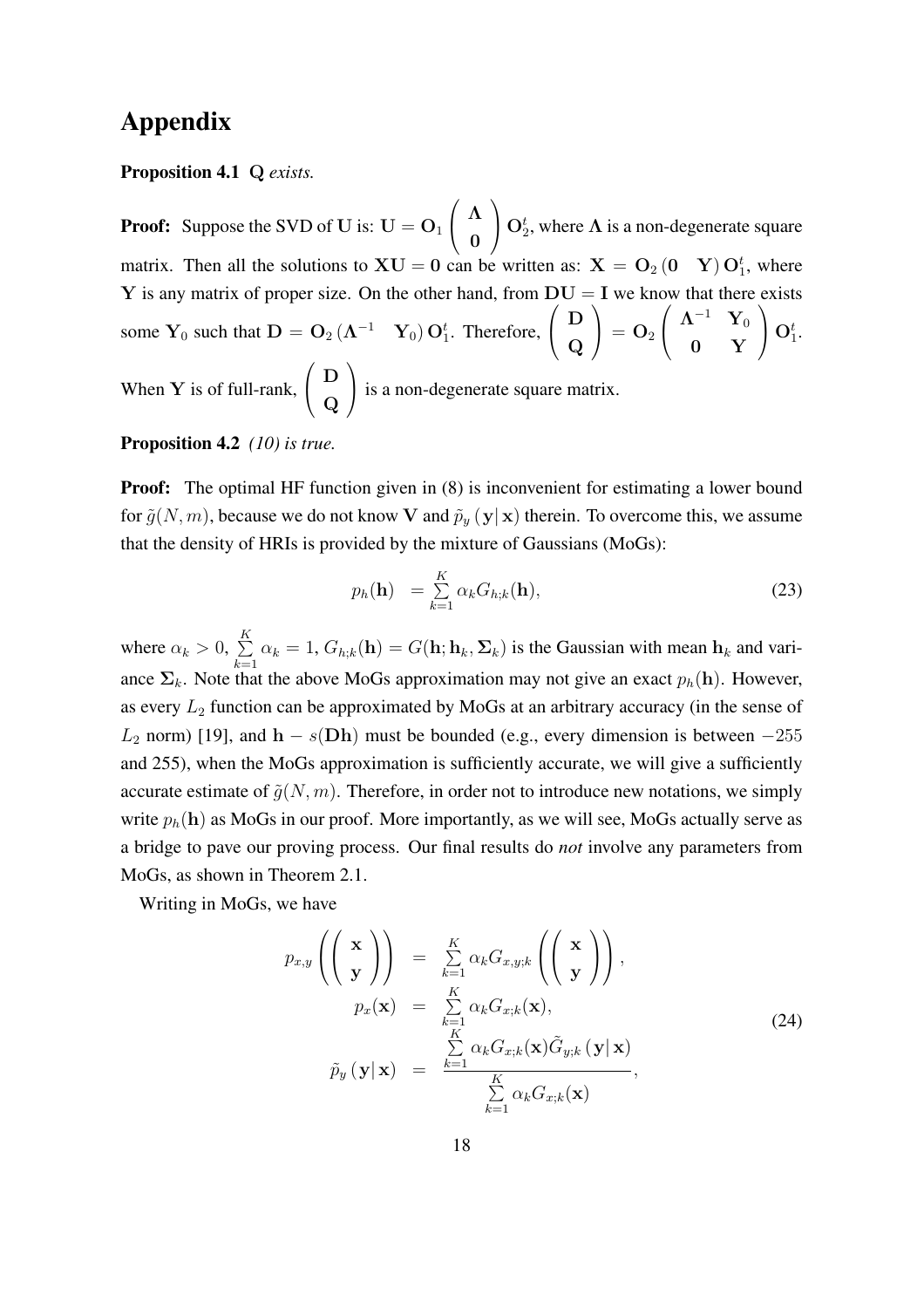## Appendix

#### Proposition 4.1 Q *exists.*

**Proof:** Suppose the SVD of U is:  $U = O_1$  $\overline{\phantom{a}}$  $\left( \begin{array}{c} \Lambda \end{array} \right)$ 0  $\mathbf{r}$  $\bigcup_{i=1}^{\infty} O_2^i$ , where  $\Lambda$  is a non-degenerate square matrix. Then all the solutions to  $XU = 0$  can be written as:  $X = O_2(0 \ Y) O_1^t$ , where Y is any matrix of proper size. On the other hand, from  $DU = I$  we know that there exists some  $Y_0$  such that  $D = O_2(\Lambda^{-1} Y_0) O_1^t$ . Therefore,  $\begin{pmatrix} D \\ D \end{pmatrix}$  $\overline{\bf Q}$  $\Bigg) = {\bf O}_2 \left( \begin{array}{cc} \boldsymbol{\Lambda}^{-1} & {\bf Y}_0 \ \ . & . \end{array} \right)$  $0 Y$  $\bigcap_{i=1}^t$ When  $Y$  is of full-rank,  $\overline{\phantom{a}}$  $\left( \begin{array}{c} D \end{array} \right)$  $\overline{\bf Q}$  $\mathbf{r}$ is a non-degenerate square matrix.

#### Proposition 4.2 *(10) is true.*

**Proof:** The optimal HF function given in (8) is inconvenient for estimating a lower bound for  $\tilde{g}(N,m)$ , because we do not know V and  $\tilde{p}_y(y|x)$  therein. To overcome this, we assume that the density of HRIs is provided by the mixture of Gaussians (MoGs):

$$
p_h(\mathbf{h}) = \sum_{k=1}^K \alpha_k G_{h;k}(\mathbf{h}), \qquad (23)
$$

where  $\alpha_k > 0$ ,  $\sum_{k=1}^{K}$  $\sum_{k=1} \alpha_k = 1$ ,  $G_{h,k}(\mathbf{h}) = G(\mathbf{h}; \mathbf{h}_k, \Sigma_k)$  is the Gaussian with mean  $\mathbf{h}_k$  and variance  $\Sigma_k$ . Note that the above MoGs approximation may not give an exact  $p_h(h)$ . However, as every  $L_2$  function can be approximated by MoGs at an arbitrary accuracy (in the sense of  $L_2$  norm) [19], and  $h - s(Dh)$  must be bounded (e.g., every dimension is between  $-255$ and 255), when the MoGs approximation is sufficiently accurate, we will give a sufficiently accurate estimate of  $\tilde{q}(N,m)$ . Therefore, in order not to introduce new notations, we simply write  $p_h(h)$  as MoGs in our proof. More importantly, as we will see, MoGs actually serve as a bridge to pave our proving process. Our final results do *not* involve any parameters from MoGs, as shown in Theorem 2.1.

Writing in MoGs, we have

$$
p_{x,y}\left(\begin{pmatrix} \mathbf{x} \\ \mathbf{y} \end{pmatrix}\right) = \sum_{k=1}^{K} \alpha_k G_{x,y;k}\left(\begin{pmatrix} \mathbf{x} \\ \mathbf{y} \end{pmatrix}\right),
$$
  
\n
$$
p_x(\mathbf{x}) = \sum_{\substack{k=1\\K}}^{K} \alpha_k G_{x;k}(\mathbf{x}),
$$
  
\n
$$
\tilde{p}_y(\mathbf{y}|\mathbf{x}) = \frac{\sum_{k=1}^{K} \alpha_k G_{x;k}(\mathbf{x}) \tilde{G}_{y;k}(\mathbf{y}|\mathbf{x})}{\sum_{k=1}^{K} \alpha_k G_{x;k}(\mathbf{x})},
$$
\n(24)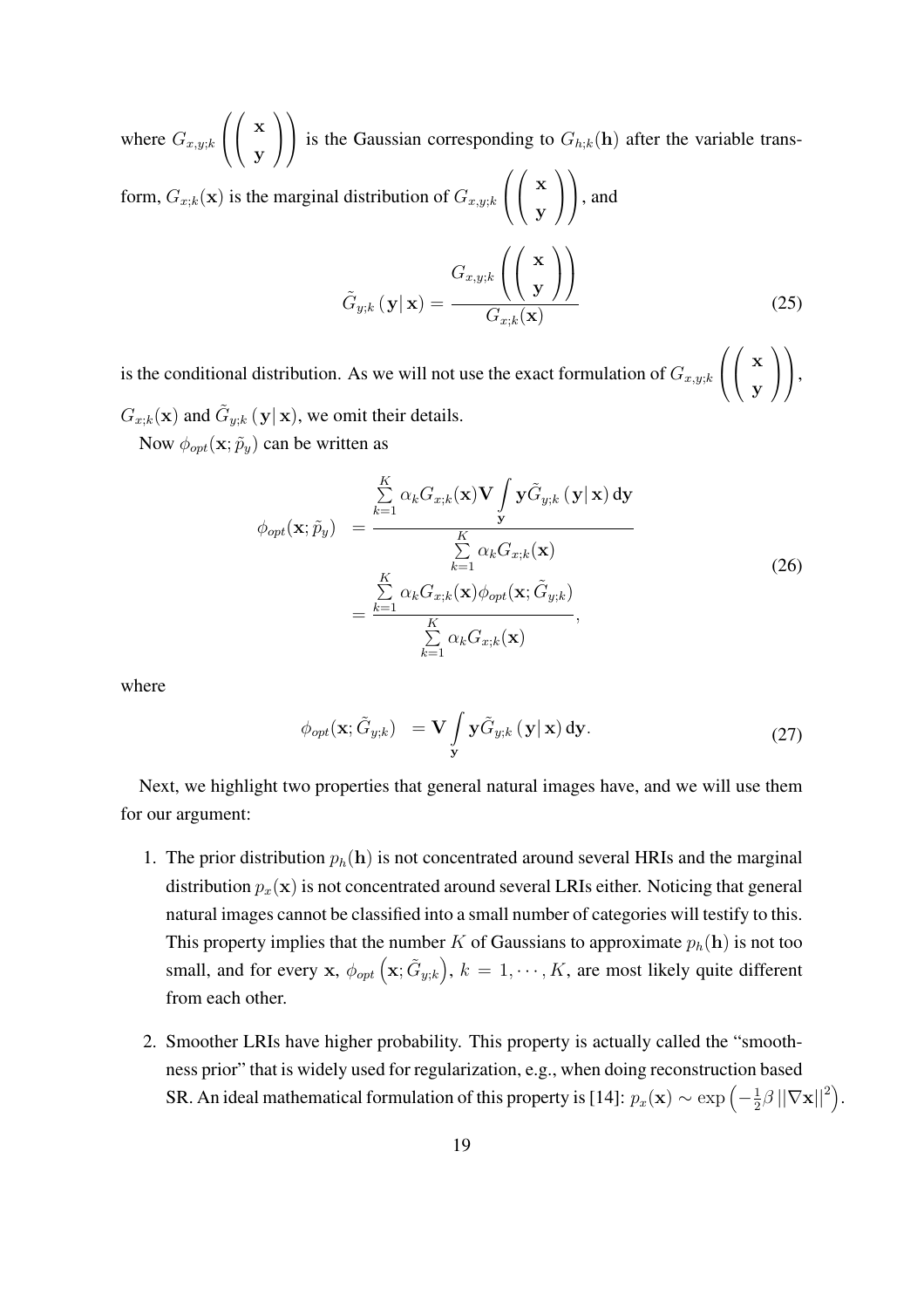where  $G_{x,y;k}$  $\overline{\phantom{a}}$  $\overline{1}$  $\overline{\phantom{a}}$  $\begin{pmatrix} x \\ y \end{pmatrix}$ y  $\mathbf{r}$  $\mathbf{I}$  $\mathbf{r}$ is the Gaussian corresponding to  $G_{h,k}(\mathbf{h})$  after the variable trans- $\mathcal{L}$   $\mathcal{L}$ 

form,  $G_{x;k}(\mathbf{x})$  is the marginal distribution of  $G_{x,y;k}$   $\left\langle \left( \begin{array}{c} \mathbf{x} \\ \mathbf{x} \end{array} \right) \right\rangle$ y  $\vert \vert$ , and

$$
\tilde{G}_{y;k}(\mathbf{y}|\mathbf{x}) = \frac{G_{x,y;k}\left(\begin{pmatrix} \mathbf{x} \\ \mathbf{y} \end{pmatrix}\right)}{G_{x;k}(\mathbf{x})}
$$
\n(25)

is the conditional distribution. As we will not use the exact formulation of  $G_{x,y;k}$  $\overline{1}$  $\begin{pmatrix} x \\ y \end{pmatrix}$ y  $\mathbf{I}$  $\vert$ ,  $G_{x;k}(\mathbf{x})$  and  $\tilde{G}_{y;k}(\mathbf{y}|\mathbf{x})$ , we omit their details.

Now  $\phi_{opt}(\mathbf{x}; \tilde{p}_y)$  can be written as

$$
\phi_{opt}(\mathbf{x}; \tilde{p}_y) = \frac{\sum_{k=1}^{K} \alpha_k G_{x;k}(\mathbf{x}) \mathbf{V} \int \mathbf{y} \tilde{G}_{y;k}(\mathbf{y}|\mathbf{x}) d\mathbf{y}}{\sum_{k=1}^{K} \alpha_k G_{x;k}(\mathbf{x})}
$$
\n
$$
= \frac{\sum_{k=1}^{K} \alpha_k G_{x;k}(\mathbf{x}) \phi_{opt}(\mathbf{x}; \tilde{G}_{y;k})}{\sum_{k=1}^{K} \alpha_k G_{x;k}(\mathbf{x})},
$$
\n(26)

where

$$
\phi_{opt}(\mathbf{x}; \tilde{G}_{y;k}) = \mathbf{V} \int_{\mathbf{y}} \mathbf{y} \tilde{G}_{y;k} (\mathbf{y} | \mathbf{x}) \, \mathrm{d}\mathbf{y}.
$$
 (27)

Next, we highlight two properties that general natural images have, and we will use them for our argument:

- 1. The prior distribution  $p_h(h)$  is not concentrated around several HRIs and the marginal distribution  $p_x(\mathbf{x})$  is not concentrated around several LRIs either. Noticing that general natural images cannot be classified into a small number of categories will testify to this. This property implies that the number K of Gaussians to approximate  $p_h(\mathbf{h})$  is not too small, and for every x,  $\phi_{opt}$   $(x; \tilde{G}_{y,k})$  $\ddot{\phantom{0}}$ ,  $k = 1, \dots, K$ , are most likely quite different from each other.
- 2. Smoother LRIs have higher probability. This property is actually called the "smoothness prior" that is widely used for regularization, e.g., when doing reconstruction based SR. An ideal mathematical formulation of this property is [14]:  $p_x(\mathbf{x}) \sim \exp\left(-\frac{1}{2}\right)$  $\frac{1}{2}\beta\left\vert \left\vert \nabla\mathbf{x}\right\vert \right\vert ^{2}\big)$ .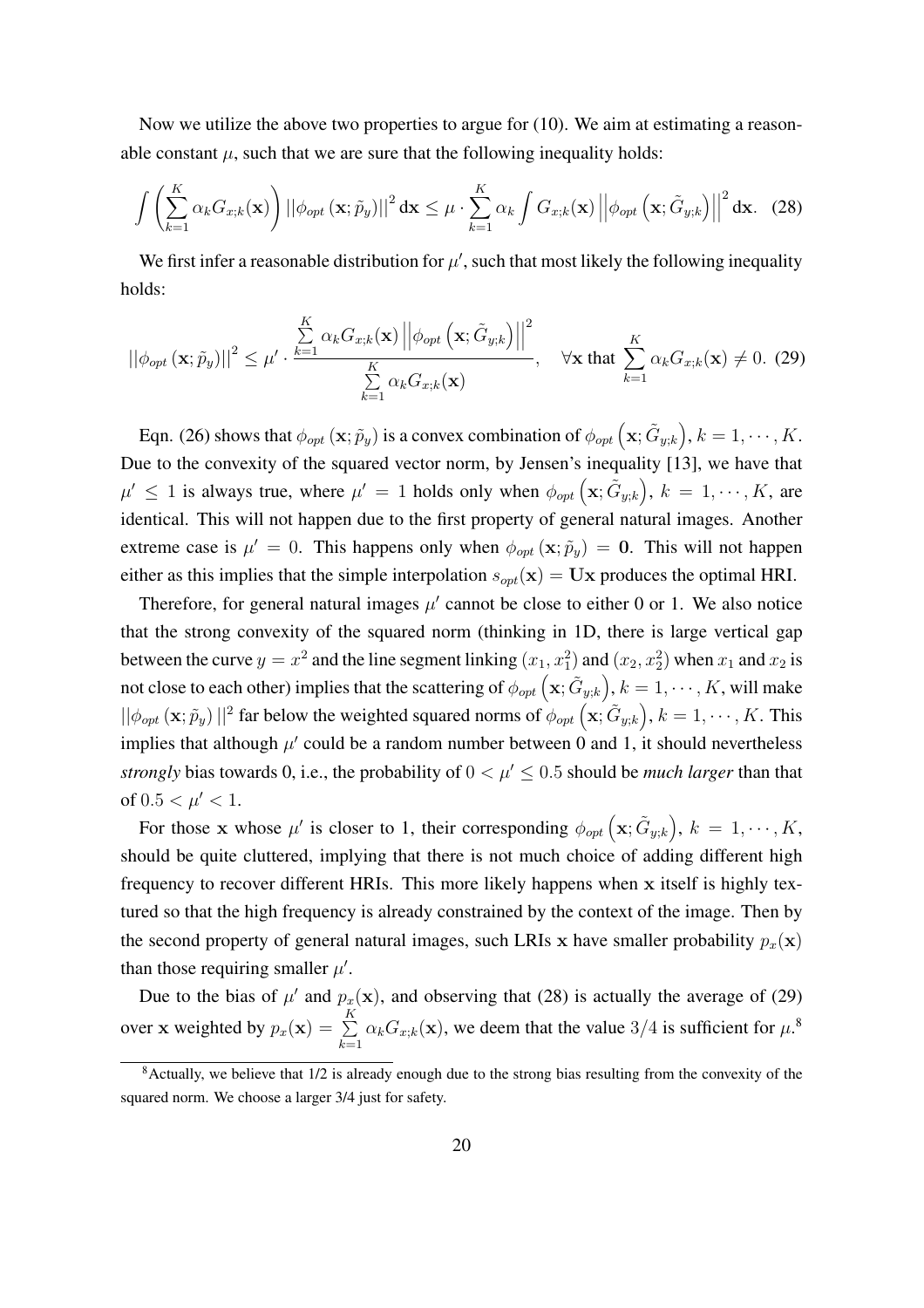Now we utilize the above two properties to argue for (10). We aim at estimating a reasonable constant  $\mu$ , such that we are sure that the following inequality holds:

$$
\int \left( \sum_{k=1}^{K} \alpha_k G_{x;k}(\mathbf{x}) \right) ||\phi_{opt}(\mathbf{x}; \tilde{p}_y)||^2 d\mathbf{x} \le \mu \cdot \sum_{k=1}^{K} \alpha_k \int G_{x;k}(\mathbf{x}) ||\phi_{opt}(\mathbf{x}; \tilde{G}_{y;k})||^2 d\mathbf{x}.
$$
 (28)

We first infer a reasonable distribution for  $\mu'$ , such that most likely the following inequality holds:

$$
\left| \left| \phi_{opt} \left( \mathbf{x}; \tilde{p}_y \right) \right| \right|^2 \leq \mu' \cdot \frac{\sum\limits_{k=1}^K \alpha_k G_{x;k}(\mathbf{x}) \left| \left| \phi_{opt} \left( \mathbf{x}; \tilde{G}_{y;k} \right) \right| \right|^2}{\sum\limits_{k=1}^K \alpha_k G_{x;k}(\mathbf{x})}, \quad \forall \mathbf{x} \text{ that } \sum\limits_{k=1}^K \alpha_k G_{x;k}(\mathbf{x}) \neq 0. \tag{29}
$$

Eqn. (26) shows that  $\phi_{opt}(\mathbf{x}; \tilde{p}_y)$  is a convex combination of  $\phi_{opt}(\mathbf{x}; \tilde{G}_{y;k})$ ´  $, k = 1, \cdots, K.$ Due to the convexity of the squared vector norm, by Jensen's inequality [13], we have that  $\mu' \leq 1$  is always true, where  $\mu' = 1$  holds only when  $\phi_{opt}(\mathbf{x}; \tilde{G}_{y;k}), k = 1, \dots, K$ , are identical. This will not happen due to the first property of general natural images. Another extreme case is  $\mu' = 0$ . This happens only when  $\phi_{opt}(\mathbf{x}; \tilde{p}_y) = \mathbf{0}$ . This will not happen either as this implies that the simple interpolation  $s_{opt}(\mathbf{x}) = \mathbf{U}\mathbf{x}$  produces the optimal HRI.

Therefore, for general natural images  $\mu'$  cannot be close to either 0 or 1. We also notice that the strong convexity of the squared norm (thinking in 1D, there is large vertical gap between the curve  $y = x^2$  and the line segment linking  $(x_1, x_1^2)$  and  $(x_2, x_2^2)$  when  $x_1$  and  $x_2$  is not close to each other) implies that the scattering of  $\phi_{opt}(\mathbf{x}; \tilde{G}_{y;k})$ ´  $, k = 1, \cdots, K$ , will make  $||\phi_{opt}(\mathbf{x}; \tilde{p}_y)||^2$  far below the weighted squared norms of  $\phi_{opt}(\mathbf{x}; \tilde{G}_{y;k}), k = 1, \dots, K$ . This implies that although  $\mu'$  could be a random number between 0 and 1, it should nevertheless *strongly* bias towards 0, i.e., the probability of  $0 < \mu' \le 0.5$  should be *much larger* than that of  $0.5 < \mu' < 1$ . ´

For those x whose  $\mu'$  is closer to 1, their corresponding  $\phi_{opt}(\mathbf{x}; \tilde{G}_{y,k})$  $, k = 1, \cdots, K,$ should be quite cluttered, implying that there is not much choice of adding different high frequency to recover different HRIs. This more likely happens when x itself is highly textured so that the high frequency is already constrained by the context of the image. Then by the second property of general natural images, such LRIs x have smaller probability  $p_x(\mathbf{x})$ than those requiring smaller  $\mu'$ .

Due to the bias of  $\mu'$  and  $p_x(\mathbf{x})$ , and observing that (28) is actually the average of (29) over x weighted by  $p_x(\mathbf{x}) = \sum^{K}$  $\sum_{k=1}^{1} \alpha_k G_{x;k}(\mathbf{x})$ , we deem that the value  $3/4$  is sufficient for  $\mu$ .<sup>8</sup>

 $8$ Actually, we believe that  $1/2$  is already enough due to the strong bias resulting from the convexity of the squared norm. We choose a larger 3/4 just for safety.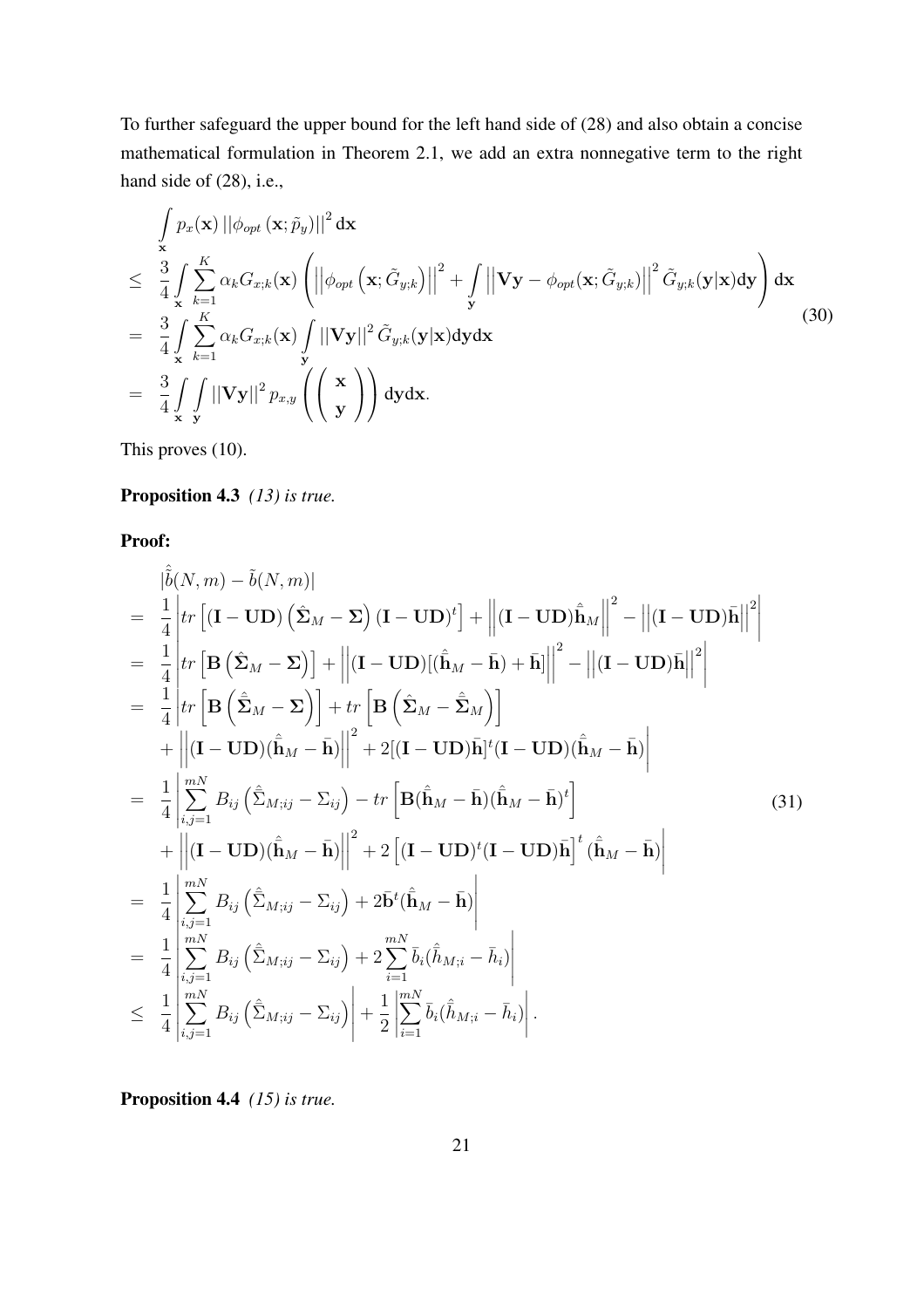To further safeguard the upper bound for the left hand side of (28) and also obtain a concise mathematical formulation in Theorem 2.1, we add an extra nonnegative term to the right hand side of  $(28)$ , i.e.,

$$
\int_{\mathbf{x}} p_x(\mathbf{x}) ||\phi_{opt}(\mathbf{x}; \tilde{p}_y)||^2 d\mathbf{x} \n\leq \frac{3}{4} \int_{\mathbf{x}} \sum_{k=1}^{K} \alpha_k G_{x;k}(\mathbf{x}) \left( \left| |\phi_{opt}(\mathbf{x}; \tilde{G}_{y;k})| \right|^2 + \int_{\mathbf{y}} \left| |\mathbf{V}\mathbf{y} - \phi_{opt}(\mathbf{x}; \tilde{G}_{y;k})| \right|^2 \tilde{G}_{y;k}(\mathbf{y}|\mathbf{x}) d\mathbf{y} \right) d\mathbf{x} \n= \frac{3}{4} \int_{\mathbf{x}} \sum_{k=1}^{K} \alpha_k G_{x;k}(\mathbf{x}) \int_{\mathbf{y}} ||\mathbf{V}\mathbf{y}||^2 \tilde{G}_{y;k}(\mathbf{y}|\mathbf{x}) d\mathbf{y} d\mathbf{x} \n= \frac{3}{4} \int_{\mathbf{x}} \int_{\mathbf{y}} ||\mathbf{V}\mathbf{y}||^2 p_{x,y} \left( \left( \frac{\mathbf{x}}{\mathbf{y}} \right) \right) d\mathbf{y} d\mathbf{x}.
$$
\n(30)

This proves (10).

#### Proposition 4.3 *(13) is true.*

Proof:

$$
\begin{split}\n&=\frac{1}{4}\left|tr\left[\mathbf{I}-\mathbf{U}\mathbf{D}\right]\left(\hat{\mathbf{\Sigma}}_{M}-\mathbf{\Sigma}\right)(\mathbf{I}-\mathbf{U}\mathbf{D})^{t}\right]+\left\|\mathbf{(I}-\mathbf{U}\mathbf{D})\hat{\mathbf{n}}_{M}\right\|^{2}-\left\|\mathbf{(I}-\mathbf{U}\mathbf{D})\mathbf{h}\right\|^{2} \\
&=\frac{1}{4}\left|tr\left[\mathbf{B}\left(\hat{\mathbf{\Sigma}}_{M}-\mathbf{\Sigma}\right)\right]+\left\|\mathbf{(I}-\mathbf{U}\mathbf{D})[(\hat{\mathbf{h}}_{M}-\mathbf{\bar{h}})+\mathbf{\bar{h}}]\right\|^{2}-\left\|\mathbf{(I}-\mathbf{U}\mathbf{D})\mathbf{\bar{h}}\right\|^{2}\right| \\
&=\frac{1}{4}\left|tr\left[\mathbf{B}\left(\hat{\mathbf{\Sigma}}_{M}-\mathbf{\Sigma}\right)\right]+tr\left[\mathbf{B}\left(\hat{\mathbf{\Sigma}}_{M}-\hat{\mathbf{\Sigma}}_{M}\right)\right]\right. \\
&+\left\|\mathbf{(I}-\mathbf{U}\mathbf{D})(\hat{\mathbf{h}}_{M}-\mathbf{\bar{h}})\right\|^{2}+2\left[(\mathbf{I}-\mathbf{U}\mathbf{D})\mathbf{\bar{h}}]^{t}(\mathbf{I}-\mathbf{U}\mathbf{D})(\hat{\mathbf{h}}_{M}-\mathbf{\bar{h}})\right| \\
&=\frac{1}{4}\left|\sum_{i,j=1}^{mN}B_{ij}\left(\hat{\mathbf{\Sigma}}_{M;ij}-\mathbf{\Sigma}_{ij}\right)-tr\left[\mathbf{B}(\hat{\mathbf{h}}_{M}-\mathbf{\bar{h}})(\hat{\mathbf{h}}_{M}-\mathbf{\bar{h}})^{t}\right]\right. \\
&+\left\|\mathbf{(I}-\mathbf{U}\mathbf{D})(\hat{\mathbf{h}}_{M}-\mathbf{\bar{h}})\right\|^{2}+2\left[(\mathbf{I}-\mathbf{U}\mathbf{D})\mathbf{\bar{h}}]^{t}(\hat{\mathbf{h}}_{M}-\mathbf{\bar{h}})\right| \\
&=\frac{1}{4}\left|\sum_{i,j=1}^{mN}B_{ij}\left(\hat{\mathbf{\Sigma}}_{M;ij}-\mathbf{\Sigma}_{ij}\right)+2\frac{\sum_{i=1}^{mN}\tilde{b
$$

Proposition 4.4 *(15) is true.*